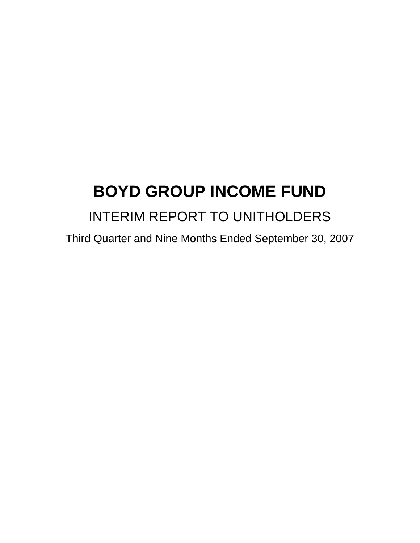# **BOYD GROUP INCOME FUND**  INTERIM REPORT TO UNITHOLDERS

Third Quarter and Nine Months Ended September 30, 2007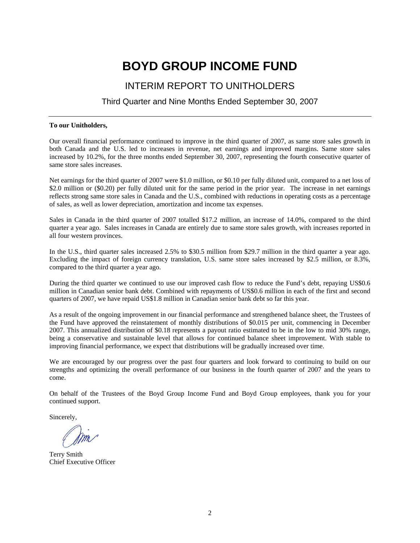# **BOYD GROUP INCOME FUND**

## INTERIM REPORT TO UNITHOLDERS

### Third Quarter and Nine Months Ended September 30, 2007

#### **To our Unitholders,**

Our overall financial performance continued to improve in the third quarter of 2007, as same store sales growth in both Canada and the U.S. led to increases in revenue, net earnings and improved margins. Same store sales increased by 10.2%, for the three months ended September 30, 2007, representing the fourth consecutive quarter of same store sales increases.

Net earnings for the third quarter of 2007 were \$1.0 million, or \$0.10 per fully diluted unit, compared to a net loss of \$2.0 million or (\$0.20) per fully diluted unit for the same period in the prior year. The increase in net earnings reflects strong same store sales in Canada and the U.S., combined with reductions in operating costs as a percentage of sales, as well as lower depreciation, amortization and income tax expenses.

Sales in Canada in the third quarter of 2007 totalled \$17.2 million, an increase of 14.0%, compared to the third quarter a year ago. Sales increases in Canada are entirely due to same store sales growth, with increases reported in all four western provinces.

In the U.S., third quarter sales increased 2.5% to \$30.5 million from \$29.7 million in the third quarter a year ago. Excluding the impact of foreign currency translation, U.S. same store sales increased by \$2.5 million, or 8.3%, compared to the third quarter a year ago.

During the third quarter we continued to use our improved cash flow to reduce the Fund's debt, repaying US\$0.6 million in Canadian senior bank debt. Combined with repayments of US\$0.6 million in each of the first and second quarters of 2007, we have repaid US\$1.8 million in Canadian senior bank debt so far this year.

As a result of the ongoing improvement in our financial performance and strengthened balance sheet, the Trustees of the Fund have approved the reinstatement of monthly distributions of \$0.015 per unit, commencing in December 2007. This annualized distribution of \$0.18 represents a payout ratio estimated to be in the low to mid 30% range, being a conservative and sustainable level that allows for continued balance sheet improvement. With stable to improving financial performance, we expect that distributions will be gradually increased over time.

We are encouraged by our progress over the past four quarters and look forward to continuing to build on our strengths and optimizing the overall performance of our business in the fourth quarter of 2007 and the years to come.

On behalf of the Trustees of the Boyd Group Income Fund and Boyd Group employees, thank you for your continued support.

Sincerely,

Terry Smith Chief Executive Officer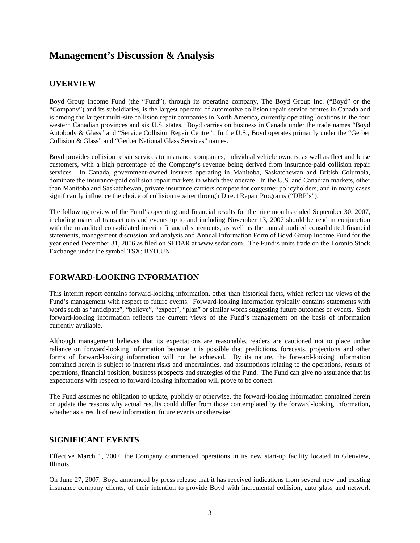# **Management's Discussion & Analysis**

### **OVERVIEW**

Boyd Group Income Fund (the "Fund"), through its operating company, The Boyd Group Inc. ("Boyd" or the "Company") and its subsidiaries, is the largest operator of automotive collision repair service centres in Canada and is among the largest multi-site collision repair companies in North America, currently operating locations in the four western Canadian provinces and six U.S. states. Boyd carries on business in Canada under the trade names "Boyd Autobody & Glass" and "Service Collision Repair Centre". In the U.S., Boyd operates primarily under the "Gerber Collision & Glass" and "Gerber National Glass Services" names.

Boyd provides collision repair services to insurance companies, individual vehicle owners, as well as fleet and lease customers, with a high percentage of the Company's revenue being derived from insurance-paid collision repair services. In Canada, government-owned insurers operating in Manitoba, Saskatchewan and British Columbia, dominate the insurance-paid collision repair markets in which they operate. In the U.S. and Canadian markets, other than Manitoba and Saskatchewan, private insurance carriers compete for consumer policyholders, and in many cases significantly influence the choice of collision repairer through Direct Repair Programs ("DRP's").

The following review of the Fund's operating and financial results for the nine months ended September 30, 2007, including material transactions and events up to and including November 13, 2007 should be read in conjunction with the unaudited consolidated interim financial statements, as well as the annual audited consolidated financial statements, management discussion and analysis and Annual Information Form of Boyd Group Income Fund for the year ended December 31, 2006 as filed on SEDAR at www.sedar.com. The Fund's units trade on the Toronto Stock Exchange under the symbol TSX: BYD.UN.

### **FORWARD-LOOKING INFORMATION**

This interim report contains forward-looking information, other than historical facts, which reflect the views of the Fund's management with respect to future events. Forward-looking information typically contains statements with words such as "anticipate", "believe", "expect", "plan" or similar words suggesting future outcomes or events. Such forward-looking information reflects the current views of the Fund's management on the basis of information currently available.

Although management believes that its expectations are reasonable, readers are cautioned not to place undue reliance on forward-looking information because it is possible that predictions, forecasts, projections and other forms of forward-looking information will not be achieved. By its nature, the forward-looking information contained herein is subject to inherent risks and uncertainties, and assumptions relating to the operations, results of operations, financial position, business prospects and strategies of the Fund. The Fund can give no assurance that its expectations with respect to forward-looking information will prove to be correct.

The Fund assumes no obligation to update, publicly or otherwise, the forward-looking information contained herein or update the reasons why actual results could differ from those contemplated by the forward-looking information, whether as a result of new information, future events or otherwise.

### **SIGNIFICANT EVENTS**

Effective March 1, 2007, the Company commenced operations in its new start-up facility located in Glenview, Illinois.

On June 27, 2007, Boyd announced by press release that it has received indications from several new and existing insurance company clients, of their intention to provide Boyd with incremental collision, auto glass and network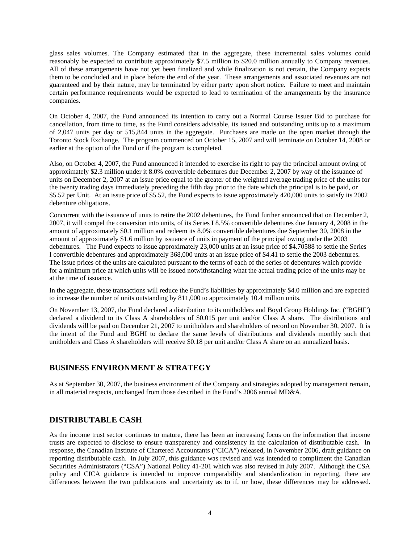glass sales volumes. The Company estimated that in the aggregate, these incremental sales volumes could reasonably be expected to contribute approximately \$7.5 million to \$20.0 million annually to Company revenues. All of these arrangements have not yet been finalized and while finalization is not certain, the Company expects them to be concluded and in place before the end of the year. These arrangements and associated revenues are not guaranteed and by their nature, may be terminated by either party upon short notice. Failure to meet and maintain certain performance requirements would be expected to lead to termination of the arrangements by the insurance companies.

On October 4, 2007, the Fund announced its intention to carry out a Normal Course Issuer Bid to purchase for cancellation, from time to time, as the Fund considers advisable, its issued and outstanding units up to a maximum of 2,047 units per day or 515,844 units in the aggregate. Purchases are made on the open market through the Toronto Stock Exchange. The program commenced on October 15, 2007 and will terminate on October 14, 2008 or earlier at the option of the Fund or if the program is completed.

Also, on October 4, 2007, the Fund announced it intended to exercise its right to pay the principal amount owing of approximately \$2.3 million under it 8.0% convertible debentures due December 2, 2007 by way of the issuance of units on December 2, 2007 at an issue price equal to the greater of the weighted average trading price of the units for the twenty trading days immediately preceding the fifth day prior to the date which the principal is to be paid, or \$5.52 per Unit. At an issue price of \$5.52, the Fund expects to issue approximately 420,000 units to satisfy its 2002 debenture obligations.

Concurrent with the issuance of units to retire the 2002 debentures, the Fund further announced that on December 2, 2007, it will compel the conversion into units, of its Series I 8.5% convertible debentures due January 4, 2008 in the amount of approximately \$0.1 million and redeem its 8.0% convertible debentures due September 30, 2008 in the amount of approximately \$1.6 million by issuance of units in payment of the principal owing under the 2003 debentures. The Fund expects to issue approximately 23,000 units at an issue price of \$4.70588 to settle the Series I convertible debentures and approximately 368,000 units at an issue price of \$4.41 to settle the 2003 debentures. The issue prices of the units are calculated pursuant to the terms of each of the series of debentures which provide for a minimum price at which units will be issued notwithstanding what the actual trading price of the units may be at the time of issuance.

In the aggregate, these transactions will reduce the Fund's liabilities by approximately \$4.0 million and are expected to increase the number of units outstanding by 811,000 to approximately 10.4 million units.

On November 13, 2007, the Fund declared a distribution to its unitholders and Boyd Group Holdings Inc. ("BGHI") declared a dividend to its Class A shareholders of \$0.015 per unit and/or Class A share. The distributions and dividends will be paid on December 21, 2007 to unitholders and shareholders of record on November 30, 2007. It is the intent of the Fund and BGHI to declare the same levels of distributions and dividends monthly such that unitholders and Class A shareholders will receive \$0.18 per unit and/or Class A share on an annualized basis.

### **BUSINESS ENVIRONMENT & STRATEGY**

As at September 30, 2007, the business environment of the Company and strategies adopted by management remain, in all material respects, unchanged from those described in the Fund's 2006 annual MD&A.

### **DISTRIBUTABLE CASH**

As the income trust sector continues to mature, there has been an increasing focus on the information that income trusts are expected to disclose to ensure transparency and consistency in the calculation of distributable cash. In response, the Canadian Institute of Chartered Accountants ("CICA") released, in November 2006, draft guidance on reporting distributable cash. In July 2007, this guidance was revised and was intended to compliment the Canadian Securities Administrators ("CSA") National Policy 41-201 which was also revised in July 2007. Although the CSA policy and CICA guidance is intended to improve comparability and standardization in reporting, there are differences between the two publications and uncertainty as to if, or how, these differences may be addressed.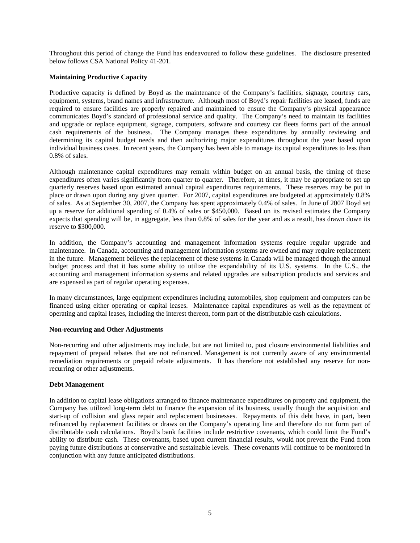Throughout this period of change the Fund has endeavoured to follow these guidelines. The disclosure presented below follows CSA National Policy 41-201.

#### **Maintaining Productive Capacity**

Productive capacity is defined by Boyd as the maintenance of the Company's facilities, signage, courtesy cars, equipment, systems, brand names and infrastructure. Although most of Boyd's repair facilities are leased, funds are required to ensure facilities are properly repaired and maintained to ensure the Company's physical appearance communicates Boyd's standard of professional service and quality. The Company's need to maintain its facilities and upgrade or replace equipment, signage, computers, software and courtesy car fleets forms part of the annual cash requirements of the business. The Company manages these expenditures by annually reviewing and determining its capital budget needs and then authorizing major expenditures throughout the year based upon individual business cases. In recent years, the Company has been able to manage its capital expenditures to less than 0.8% of sales.

Although maintenance capital expenditures may remain within budget on an annual basis, the timing of these expenditures often varies significantly from quarter to quarter. Therefore, at times, it may be appropriate to set up quarterly reserves based upon estimated annual capital expenditures requirements. These reserves may be put in place or drawn upon during any given quarter. For 2007, capital expenditures are budgeted at approximately 0.8% of sales. As at September 30, 2007, the Company has spent approximately 0.4% of sales. In June of 2007 Boyd set up a reserve for additional spending of 0.4% of sales or \$450,000. Based on its revised estimates the Company expects that spending will be, in aggregate, less than 0.8% of sales for the year and as a result, has drawn down its reserve to \$300,000.

In addition, the Company's accounting and management information systems require regular upgrade and maintenance. In Canada, accounting and management information systems are owned and may require replacement in the future. Management believes the replacement of these systems in Canada will be managed though the annual budget process and that it has some ability to utilize the expandability of its U.S. systems. In the U.S., the accounting and management information systems and related upgrades are subscription products and services and are expensed as part of regular operating expenses.

In many circumstances, large equipment expenditures including automobiles, shop equipment and computers can be financed using either operating or capital leases. Maintenance capital expenditures as well as the repayment of operating and capital leases, including the interest thereon, form part of the distributable cash calculations.

#### **Non-recurring and Other Adjustments**

Non-recurring and other adjustments may include, but are not limited to, post closure environmental liabilities and repayment of prepaid rebates that are not refinanced. Management is not currently aware of any environmental remediation requirements or prepaid rebate adjustments. It has therefore not established any reserve for nonrecurring or other adjustments.

#### **Debt Management**

In addition to capital lease obligations arranged to finance maintenance expenditures on property and equipment, the Company has utilized long-term debt to finance the expansion of its business, usually though the acquisition and start-up of collision and glass repair and replacement businesses. Repayments of this debt have, in part, been refinanced by replacement facilities or draws on the Company's operating line and therefore do not form part of distributable cash calculations. Boyd's bank facilities include restrictive covenants, which could limit the Fund's ability to distribute cash. These covenants, based upon current financial results, would not prevent the Fund from paying future distributions at conservative and sustainable levels. These covenants will continue to be monitored in conjunction with any future anticipated distributions.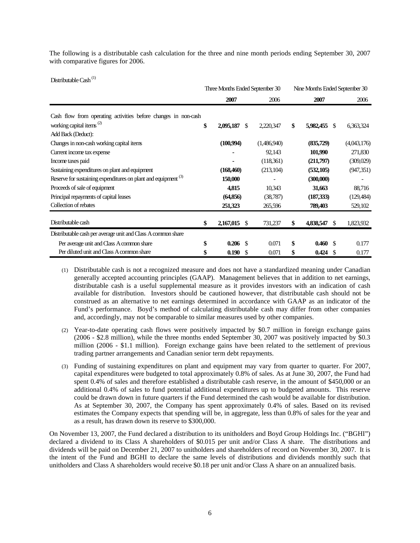The following is a distributable cash calculation for the three and nine month periods ending September 30, 2007 with comparative figures for 2006.

Distributable Cash<sup>(1)</sup>

|                                                                           | Three Months Ended September 30 |     |             |                 |               | Nine Months Ended September 30 |  |  |
|---------------------------------------------------------------------------|---------------------------------|-----|-------------|-----------------|---------------|--------------------------------|--|--|
|                                                                           | 2007                            |     | 2006        | 2007            |               | 2006                           |  |  |
| Cash flow from operating activities before changes in non-cash            |                                 |     |             |                 |               |                                |  |  |
| working capital items <sup>(2)</sup>                                      | \$<br>2,095,187                 | -\$ | 2,220,347   | \$<br>5,982,455 | -\$           | 6,363,324                      |  |  |
| Add Back (Deduct):                                                        |                                 |     |             |                 |               |                                |  |  |
| Changes in non-cash working capital items                                 | (100, 994)                      |     | (1,486,940) | (835,729)       |               | (4,043,176)                    |  |  |
| Current income tax expense                                                |                                 |     | 92,143      | 101,990         |               | 271,830                        |  |  |
| Income taxes paid                                                         |                                 |     | (118,361)   | (211,797)       |               | (309,029)                      |  |  |
| Sustaining expenditures on plant and equipment                            | (168, 460)                      |     | (213, 104)  | (532, 105)      |               | (947, 351)                     |  |  |
| Reserve for sustaining expenditures on plant and equipment <sup>(3)</sup> | 150,000                         |     |             | (300,000)       |               |                                |  |  |
| Proceeds of sale of equipment                                             | 4,815                           |     | 10,343      | 31,663          |               | 88,716                         |  |  |
| Principal repayments of capital leases                                    | (64, 856)                       |     | (38, 787)   | (187, 333)      |               | (129, 484)                     |  |  |
| Collection of rebates                                                     | 251,323                         |     | 265,596     | 789,403         |               | 529,102                        |  |  |
| Distributable cash                                                        | \$<br>2,167,015                 | -\$ | 731,237     | \$<br>4,838,547 | <sup>\$</sup> | 1,823,932                      |  |  |
| Distributable cash per average unit and Class A common share              |                                 |     |             |                 |               |                                |  |  |
| Per average unit and Class A common share                                 | \$<br>$0.206$ \$                |     | 0.071       | \$<br>0.460 S   |               | 0.177                          |  |  |
| Per diluted unit and Class A common share                                 | \$<br>0.190                     | -\$ | 0.071       | \$<br>0.424     | S.            | 0.177                          |  |  |

- ) Distributable cash is not a recognized measure and does not have a standardized meaning under Canadian (1 generally accepted accounting principles (GAAP). Management believes that in addition to net earnings, distributable cash is a useful supplemental measure as it provides investors with an indication of cash available for distribution. Investors should be cautioned however, that distributable cash should not be construed as an alternative to net earnings determined in accordance with GAAP as an indicator of the Fund's performance. Boyd's method of calculating distributable cash may differ from other companies and, accordingly, may not be comparable to similar measures used by other companies.
- (2) Year-to-date operating cash flows were positively impacted by \$0.7 million in foreign exchange gains (2006 - \$2.8 million), while the three months ended September 30, 2007 was positively impacted by \$0.3 million (2006 - \$1.1 million). Foreign exchange gains have been related to the settlement of previous trading partner arrangements and Canadian senior term debt repayments.
- (3) Funding of sustaining expenditures on plant and equipment may vary from quarter to quarter. For 2007, capital expenditures were budgeted to total approximately 0.8% of sales. As at June 30, 2007, the Fund had spent 0.4% of sales and therefore established a distributable cash reserve, in the amount of \$450,000 or an additional 0.4% of sales to fund potential additional expenditures up to budgeted amounts. This reserve could be drawn down in future quarters if the Fund determined the cash would be available for distribution. As at September 30, 2007, the Company has spent approximately 0.4% of sales. Based on its revised estimates the Company expects that spending will be, in aggregate, less than 0.8% of sales for the year and as a result, has drawn down its reserve to \$300,000.

On November 13, 2007, the Fund declared a distribution to its unitholders and Boyd Group Holdings Inc. ("BGHI") declared a dividend to its Class A shareholders of \$0.015 per unit and/or Class A share. The distributions and dividends will be paid on December 21, 2007 to unitholders and shareholders of record on November 30, 2007. It is the intent of the Fund and BGHI to declare the same levels of distributions and dividends monthly such that unitholders and Class A shareholders would receive \$0.18 per unit and/or Class A share on an annualized basis.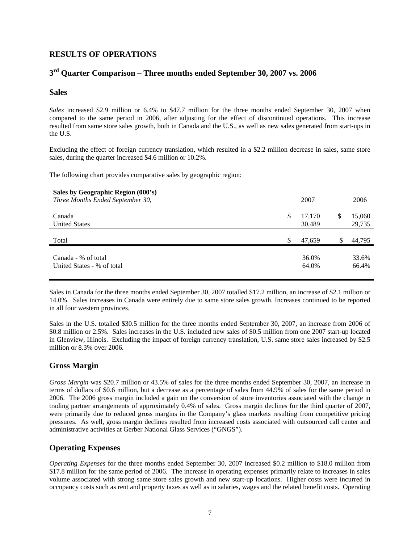### **RESULTS OF OPERATIONS**

### **3rd Quarter Comparison – Three months ended September 30, 2007 vs. 2006**

#### **Sales**

*Sales* increased \$2.9 million or 6.4% to \$47.7 million for the three months ended September 30, 2007 when compared to the same period in 2006, after adjusting for the effect of discontinued operations. This increase resulted from same store sales growth, both in Canada and the U.S., as well as new sales generated from start-ups in the U.S.

Excluding the effect of foreign currency translation, which resulted in a \$2.2 million decrease in sales, same store sales, during the quarter increased \$4.6 million or 10.2%.

The following chart provides comparative sales by geographic region:

| Sales by Geographic Region (000's) |    |        |   |        |
|------------------------------------|----|--------|---|--------|
| Three Months Ended September 30,   |    | 2007   |   | 2006   |
|                                    |    |        |   |        |
| Canada                             | \$ | 17,170 | S | 15,060 |
| <b>United States</b>               |    | 30,489 |   | 29,735 |
|                                    |    |        |   |        |
| Total                              | S  | 47,659 |   | 44,795 |
|                                    |    |        |   |        |
| Canada - % of total                |    | 36.0%  |   | 33.6%  |
| United States - % of total         |    | 64.0%  |   | 66.4%  |
|                                    |    |        |   |        |

Sales in Canada for the three months ended September 30, 2007 totalled \$17.2 million, an increase of \$2.1 million or 14.0%. Sales increases in Canada were entirely due to same store sales growth. Increases continued to be reported in all four western provinces.

Sales in the U.S. totalled \$30.5 million for the three months ended September 30, 2007, an increase from 2006 of \$0.8 million or 2.5%. Sales increases in the U.S. included new sales of \$0.5 million from one 2007 start-up located in Glenview, Illinois. Excluding the impact of foreign currency translation, U.S. same store sales increased by \$2.5 million or 8.3% over 2006.

### **Gross Margin**

*Gross Margin* was \$20.7 million or 43.5% of sales for the three months ended September 30, 2007, an increase in terms of dollars of \$0.6 million, but a decrease as a percentage of sales from 44.9% of sales for the same period in 2006. The 2006 gross margin included a gain on the conversion of store inventories associated with the change in trading partner arrangements of approximately 0.4% of sales. Gross margin declines for the third quarter of 2007, were primarily due to reduced gross margins in the Company's glass markets resulting from competitive pricing pressures. As well, gross margin declines resulted from increased costs associated with outsourced call center and administrative activities at Gerber National Glass Services ("GNGS").

### **Operating Expenses**

*Operating Expenses* for the three months ended September 30, 2007 increased \$0.2 million to \$18.0 million from \$17.8 million for the same period of 2006. The increase in operating expenses primarily relate to increases in sales volume associated with strong same store sales growth and new start-up locations. Higher costs were incurred in occupancy costs such as rent and property taxes as well as in salaries, wages and the related benefit costs. Operating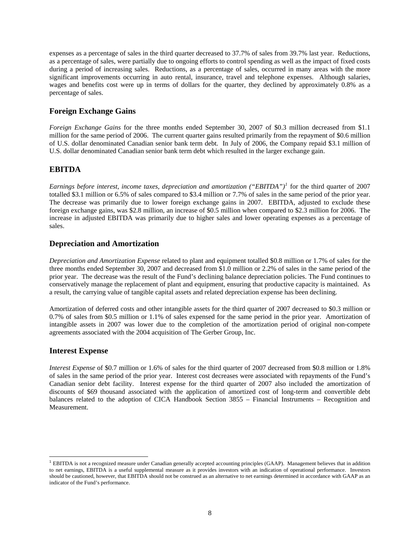expenses as a percentage of sales in the third quarter decreased to 37.7% of sales from 39.7% last year. Reductions, as a percentage of sales, were partially due to ongoing efforts to control spending as well as the impact of fixed costs during a period of increasing sales. Reductions, as a percentage of sales, occurred in many areas with the more significant improvements occurring in auto rental, insurance, travel and telephone expenses. Although salaries, wages and benefits cost were up in terms of dollars for the quarter, they declined by approximately 0.8% as a percentage of sales.

### **Foreign Exchange Gains**

*Foreign Exchange Gains* for the three months ended September 30, 2007 of \$0.3 million decreased from \$1.1 million for the same period of 2006. The current quarter gains resulted primarily from the repayment of \$0.6 million of U.S. dollar denominated Canadian senior bank term debt. In July of 2006, the Company repaid \$3.1 million of U.S. dollar denominated Canadian senior bank term debt which resulted in the larger exchange gain.

### **EBITDA**

*Earnings before interest, income taxes, depreciation and amortization ("EBITDA")[1](#page-7-0)* for the third quarter of 2007 totalled \$3.1 million or 6.5% of sales compared to \$3.4 million or 7.7% of sales in the same period of the prior year. The decrease was primarily due to lower foreign exchange gains in 2007. EBITDA, adjusted to exclude these foreign exchange gains, was \$2.8 million, an increase of \$0.5 million when compared to \$2.3 million for 2006. The increase in adjusted EBITDA was primarily due to higher sales and lower operating expenses as a percentage of sales.

### **Depreciation and Amortization**

*Depreciation and Amortization Expense* related to plant and equipment totalled \$0.8 million or 1.7% of sales for the three months ended September 30, 2007 and decreased from \$1.0 million or 2.2% of sales in the same period of the prior year. The decrease was the result of the Fund's declining balance depreciation policies. The Fund continues to conservatively manage the replacement of plant and equipment, ensuring that productive capacity is maintained. As a result, the carrying value of tangible capital assets and related depreciation expense has been declining.

Amortization of deferred costs and other intangible assets for the third quarter of 2007 decreased to \$0.3 million or 0.7% of sales from \$0.5 million or 1.1% of sales expensed for the same period in the prior year. Amortization of intangible assets in 2007 was lower due to the completion of the amortization period of original non-compete agreements associated with the 2004 acquisition of The Gerber Group, Inc.

### **Interest Expense**

 $\overline{a}$ 

*Interest Expense* of \$0.7 million or 1.6% of sales for the third quarter of 2007 decreased from \$0.8 million or 1.8% of sales in the same period of the prior year. Interest cost decreases were associated with repayments of the Fund's Canadian senior debt facility. Interest expense for the third quarter of 2007 also included the amortization of discounts of \$69 thousand associated with the application of amortized cost of long-term and convertible debt balances related to the adoption of CICA Handbook Section 3855 – Financial Instruments – Recognition and Measurement.

<span id="page-7-0"></span><sup>1</sup> EBITDA is not a recognized measure under Canadian generally accepted accounting principles (GAAP). Management believes that in addition to net earnings, EBITDA is a useful supplemental measure as it provides investors with an indication of operational performance. Investors should be cautioned, however, that EBITDA should not be construed as an alternative to net earnings determined in accordance with GAAP as an indicator of the Fund's performance.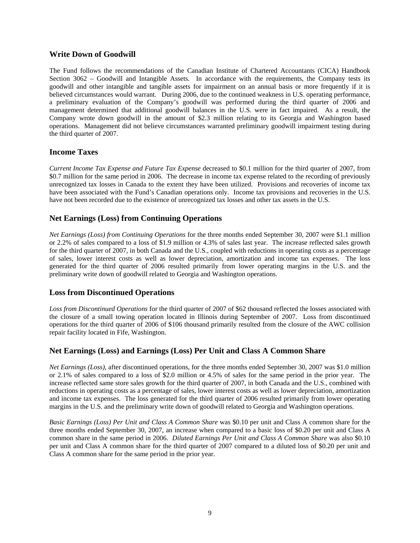### **Write Down of Goodwill**

The Fund follows the recommendations of the Canadian Institute of Chartered Accountants (CICA) Handbook Section 3062 – Goodwill and Intangible Assets. In accordance with the requirements, the Company tests its goodwill and other intangible and tangible assets for impairment on an annual basis or more frequently if it is believed circumstances would warrant. During 2006, due to the continued weakness in U.S. operating performance, a preliminary evaluation of the Company's goodwill was performed during the third quarter of 2006 and management determined that additional goodwill balances in the U.S. were in fact impaired. As a result, the Company wrote down goodwill in the amount of \$2.3 million relating to its Georgia and Washington based operations. Management did not believe circumstances warranted preliminary goodwill impairment testing during the third quarter of 2007.

### **Income Taxes**

*Current Income Tax Expense and Future Tax Expense* decreased to \$0.1 million for the third quarter of 2007, from \$0.7 million for the same period in 2006. The decrease in income tax expense related to the recording of previously unrecognized tax losses in Canada to the extent they have been utilized. Provisions and recoveries of income tax have been associated with the Fund's Canadian operations only. Income tax provisions and recoveries in the U.S. have not been recorded due to the existence of unrecognized tax losses and other tax assets in the U.S.

### **Net Earnings (Loss) from Continuing Operations**

*Net Earnings (Loss) from Continuing Operations* for the three months ended September 30, 2007 were \$1.1 million or 2.2% of sales compared to a loss of \$1.9 million or 4.3% of sales last year. The increase reflected sales growth for the third quarter of 2007, in both Canada and the U.S., coupled with reductions in operating costs as a percentage of sales, lower interest costs as well as lower depreciation, amortization and income tax expenses. The loss generated for the third quarter of 2006 resulted primarily from lower operating margins in the U.S. and the preliminary write down of goodwill related to Georgia and Washington operations.

### **Loss from Discontinued Operations**

*Loss from Discontinued Operations* for the third quarter of 2007 of \$62 thousand reflected the losses associated with the closure of a small towing operation located in Illinois during September of 2007. Loss from discontinued operations for the third quarter of 2006 of \$106 thousand primarily resulted from the closure of the AWC collision repair facility located in Fife, Washington.

### **Net Earnings (Loss) and Earnings (Loss) Per Unit and Class A Common Share**

*Net Earnings (Loss),* after discontinued operations, for the three months ended September 30, 2007 was \$1.0 million or 2.1% of sales compared to a loss of \$2.0 million or 4.5% of sales for the same period in the prior year. The increase reflected same store sales growth for the third quarter of 2007, in both Canada and the U.S., combined with reductions in operating costs as a percentage of sales, lower interest costs as well as lower depreciation, amortization and income tax expenses. The loss generated for the third quarter of 2006 resulted primarily from lower operating margins in the U.S. and the preliminary write down of goodwill related to Georgia and Washington operations.

*Basic Earnings (Loss) Per Unit and Class A Common Share* was \$0.10 per unit and Class A common share for the three months ended September 30, 2007, an increase when compared to a basic loss of \$0.20 per unit and Class A common share in the same period in 2006. *Diluted Earnings Per Unit and Class A Common Share* was also \$0.10 per unit and Class A common share for the third quarter of 2007 compared to a diluted loss of \$0.20 per unit and Class A common share for the same period in the prior year.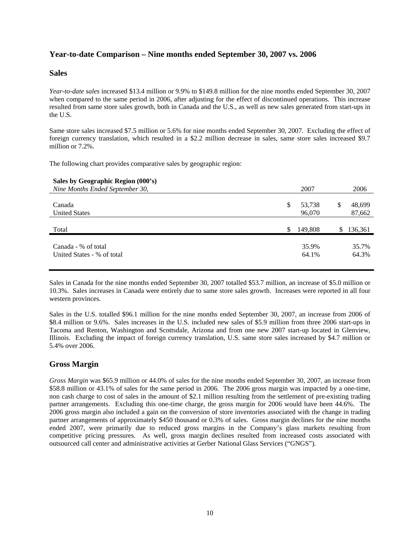### **Year-to-date Comparison – Nine months ended September 30, 2007 vs. 2006**

#### **Sales**

*Year-to-date sales* increased \$13.4 million or 9.9% to \$149.8 million for the nine months ended September 30, 2007 when compared to the same period in 2006, after adjusting for the effect of discontinued operations. This increase resulted from same store sales growth, both in Canada and the U.S., as well as new sales generated from start-ups in the U.S.

Same store sales increased \$7.5 million or 5.6% for nine months ended September 30, 2007. Excluding the effect of foreign currency translation, which resulted in a \$2.2 million decrease in sales, same store sales increased \$9.7 million or 7.2%.

The following chart provides comparative sales by geographic region:

#### **Sales by Geographic Region (000's)**

| Nine Months Ended September 30,                   |    | 2007             | 2006                   |
|---------------------------------------------------|----|------------------|------------------------|
| Canada<br><b>United States</b>                    | S  | 53,738<br>96,070 | \$<br>48,699<br>87,662 |
| Total                                             | \$ | 149,808          | \$<br>136,361          |
| Canada - % of total<br>United States - % of total |    | 35.9%<br>64.1%   | 35.7%<br>64.3%         |

Sales in Canada for the nine months ended September 30, 2007 totalled \$53.7 million, an increase of \$5.0 million or 10.3%. Sales increases in Canada were entirely due to same store sales growth. Increases were reported in all four western provinces.

Sales in the U.S. totalled \$96.1 million for the nine months ended September 30, 2007, an increase from 2006 of \$8.4 million or 9.6%. Sales increases in the U.S. included new sales of \$5.9 million from three 2006 start-ups in Tacoma and Renton, Washington and Scottsdale, Arizona and from one new 2007 start-up located in Glenview, Illinois. Excluding the impact of foreign currency translation, U.S. same store sales increased by \$4.7 million or 5.4% over 2006.

### **Gross Margin**

*Gross Margin* was \$65.9 million or 44.0% of sales for the nine months ended September 30, 2007, an increase from \$58.8 million or 43.1% of sales for the same period in 2006. The 2006 gross margin was impacted by a one-time, non cash charge to cost of sales in the amount of \$2.1 million resulting from the settlement of pre-existing trading partner arrangements. Excluding this one-time charge, the gross margin for 2006 would have been 44.6%. The 2006 gross margin also included a gain on the conversion of store inventories associated with the change in trading partner arrangements of approximately \$450 thousand or 0.3% of sales. Gross margin declines for the nine months ended 2007, were primarily due to reduced gross margins in the Company's glass markets resulting from competitive pricing pressures. As well, gross margin declines resulted from increased costs associated with outsourced call center and administrative activities at Gerber National Glass Services ("GNGS").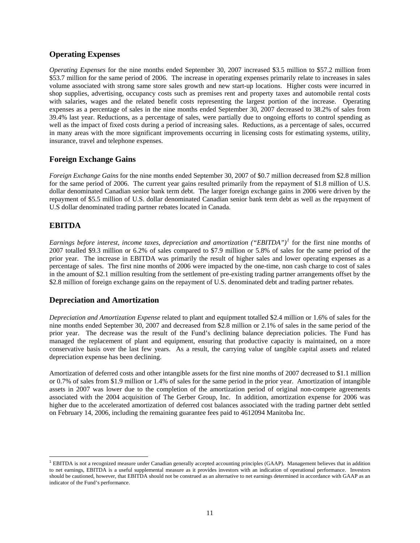### **Operating Expenses**

*Operating Expenses* for the nine months ended September 30, 2007 increased \$3.5 million to \$57.2 million from \$53.7 million for the same period of 2006. The increase in operating expenses primarily relate to increases in sales volume associated with strong same store sales growth and new start-up locations. Higher costs were incurred in shop supplies, advertising, occupancy costs such as premises rent and property taxes and automobile rental costs with salaries, wages and the related benefit costs representing the largest portion of the increase. Operating expenses as a percentage of sales in the nine months ended September 30, 2007 decreased to 38.2% of sales from 39.4% last year. Reductions, as a percentage of sales, were partially due to ongoing efforts to control spending as well as the impact of fixed costs during a period of increasing sales. Reductions, as a percentage of sales, occurred in many areas with the more significant improvements occurring in licensing costs for estimating systems, utility, insurance, travel and telephone expenses.

### **Foreign Exchange Gains**

*Foreign Exchange Gains* for the nine months ended September 30, 2007 of \$0.7 million decreased from \$2.8 million for the same period of 2006. The current year gains resulted primarily from the repayment of \$1.8 million of U.S. dollar denominated Canadian senior bank term debt. The larger foreign exchange gains in 2006 were driven by the repayment of \$5.5 million of U.S. dollar denominated Canadian senior bank term debt as well as the repayment of U.S dollar denominated trading partner rebates located in Canada.

### **EBITDA**

 $\overline{a}$ 

*Earnings before interest, income taxes, depreciation and amortization ("EBITDA")[1](#page-10-0)* for the first nine months of 2007 totalled \$9.3 million or 6.2% of sales compared to \$7.9 million or 5.8% of sales for the same period of the prior year. The increase in EBITDA was primarily the result of higher sales and lower operating expenses as a percentage of sales. The first nine months of 2006 were impacted by the one-time, non cash charge to cost of sales in the amount of \$2.1 million resulting from the settlement of pre-existing trading partner arrangements offset by the \$2.8 million of foreign exchange gains on the repayment of U.S. denominated debt and trading partner rebates.

### **Depreciation and Amortization**

*Depreciation and Amortization Expense* related to plant and equipment totalled \$2.4 million or 1.6% of sales for the nine months ended September 30, 2007 and decreased from \$2.8 million or 2.1% of sales in the same period of the prior year. The decrease was the result of the Fund's declining balance depreciation policies. The Fund has managed the replacement of plant and equipment, ensuring that productive capacity is maintained, on a more conservative basis over the last few years. As a result, the carrying value of tangible capital assets and related depreciation expense has been declining.

Amortization of deferred costs and other intangible assets for the first nine months of 2007 decreased to \$1.1 million or 0.7% of sales from \$1.9 million or 1.4% of sales for the same period in the prior year. Amortization of intangible assets in 2007 was lower due to the completion of the amortization period of original non-compete agreements associated with the 2004 acquisition of The Gerber Group, Inc. In addition, amortization expense for 2006 was higher due to the accelerated amortization of deferred cost balances associated with the trading partner debt settled on February 14, 2006, including the remaining guarantee fees paid to 4612094 Manitoba Inc.

<span id="page-10-0"></span> $<sup>1</sup>$  EBITDA is not a recognized measure under Canadian generally accepted accounting principles (GAAP). Management believes that in addition</sup> to net earnings, EBITDA is a useful supplemental measure as it provides investors with an indication of operational performance. Investors should be cautioned, however, that EBITDA should not be construed as an alternative to net earnings determined in accordance with GAAP as an indicator of the Fund's performance.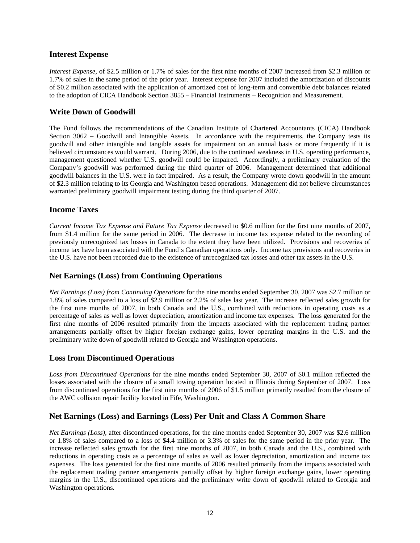#### **Interest Expense**

*Interest Expense*, of \$2.5 million or 1.7% of sales for the first nine months of 2007 increased from \$2.3 million or 1.7% of sales in the same period of the prior year. Interest expense for 2007 included the amortization of discounts of \$0.2 million associated with the application of amortized cost of long-term and convertible debt balances related to the adoption of CICA Handbook Section 3855 – Financial Instruments – Recognition and Measurement.

### **Write Down of Goodwill**

The Fund follows the recommendations of the Canadian Institute of Chartered Accountants (CICA) Handbook Section 3062 – Goodwill and Intangible Assets. In accordance with the requirements, the Company tests its goodwill and other intangible and tangible assets for impairment on an annual basis or more frequently if it is believed circumstances would warrant. During 2006, due to the continued weakness in U.S. operating performance, management questioned whether U.S. goodwill could be impaired. Accordingly, a preliminary evaluation of the Company's goodwill was performed during the third quarter of 2006. Management determined that additional goodwill balances in the U.S. were in fact impaired. As a result, the Company wrote down goodwill in the amount of \$2.3 million relating to its Georgia and Washington based operations. Management did not believe circumstances warranted preliminary goodwill impairment testing during the third quarter of 2007.

### **Income Taxes**

*Current Income Tax Expense and Future Tax Expense* decreased to \$0.6 million for the first nine months of 2007, from \$1.4 million for the same period in 2006. The decrease in income tax expense related to the recording of previously unrecognized tax losses in Canada to the extent they have been utilized. Provisions and recoveries of income tax have been associated with the Fund's Canadian operations only. Income tax provisions and recoveries in the U.S. have not been recorded due to the existence of unrecognized tax losses and other tax assets in the U.S.

### **Net Earnings (Loss) from Continuing Operations**

*Net Earnings (Loss) from Continuing Operations* for the nine months ended September 30, 2007 was \$2.7 million or 1.8% of sales compared to a loss of \$2.9 million or 2.2% of sales last year. The increase reflected sales growth for the first nine months of 2007, in both Canada and the U.S., combined with reductions in operating costs as a percentage of sales as well as lower depreciation, amortization and income tax expenses. The loss generated for the first nine months of 2006 resulted primarily from the impacts associated with the replacement trading partner arrangements partially offset by higher foreign exchange gains, lower operating margins in the U.S. and the preliminary write down of goodwill related to Georgia and Washington operations.

### **Loss from Discontinued Operations**

*Loss from Discontinued Operations* for the nine months ended September 30, 2007 of \$0.1 million reflected the losses associated with the closure of a small towing operation located in Illinois during September of 2007. Loss from discontinued operations for the first nine months of 2006 of \$1.5 million primarily resulted from the closure of the AWC collision repair facility located in Fife, Washington.

### **Net Earnings (Loss) and Earnings (Loss) Per Unit and Class A Common Share**

*Net Earnings (Loss),* after discontinued operations, for the nine months ended September 30, 2007 was \$2.6 million or 1.8% of sales compared to a loss of \$4.4 million or 3.3% of sales for the same period in the prior year. The increase reflected sales growth for the first nine months of 2007, in both Canada and the U.S., combined with reductions in operating costs as a percentage of sales as well as lower depreciation, amortization and income tax expenses. The loss generated for the first nine months of 2006 resulted primarily from the impacts associated with the replacement trading partner arrangements partially offset by higher foreign exchange gains, lower operating margins in the U.S., discontinued operations and the preliminary write down of goodwill related to Georgia and Washington operations.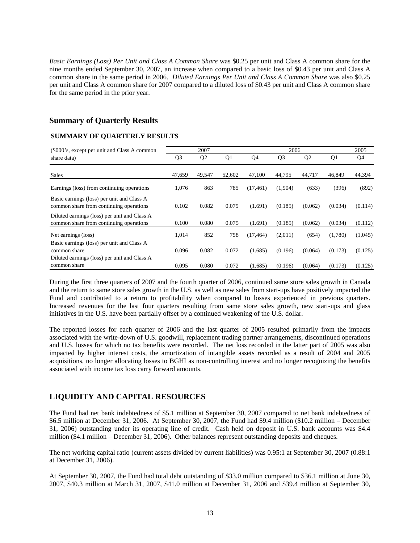*Basic Earnings (Loss) Per Unit and Class A Common Share* was \$0.25 per unit and Class A common share for the nine months ended September 30, 2007, an increase when compared to a basic loss of \$0.43 per unit and Class A common share in the same period in 2006. *Diluted Earnings Per Unit and Class A Common Share* was also \$0.25 per unit and Class A common share for 2007 compared to a diluted loss of \$0.43 per unit and Class A common share for the same period in the prior year.

### **Summary of Quarterly Results**

### **SUMMARY OF QUARTERLY RESULTS**

| (\$000's, except per unit and Class A common                                                               |                | 2007<br>2006   |        |           |                |                |         |         |
|------------------------------------------------------------------------------------------------------------|----------------|----------------|--------|-----------|----------------|----------------|---------|---------|
| share data)                                                                                                | Q <sub>3</sub> | Q <sub>2</sub> | Q1     | Q4        | Q <sub>3</sub> | Q <sub>2</sub> | Q1      | Q4      |
| <b>Sales</b>                                                                                               | 47,659         | 49,547         | 52,602 | 47,100    | 44,795         | 44,717         | 46,849  | 44,394  |
| Earnings (loss) from continuing operations                                                                 | 1,076          | 863            | 785    | (17, 461) | (1,904)        | (633)          | (396)   | (892)   |
| Basic earnings (loss) per unit and Class A<br>common share from continuing operations                      | 0.102          | 0.082          | 0.075  | (1.691)   | (0.185)        | (0.062)        | (0.034) | (0.114) |
| Diluted earnings (loss) per unit and Class A<br>common share from continuing operations                    | 0.100          | 0.080          | 0.075  | (1.691)   | (0.185)        | (0.062)        | (0.034) | (0.112) |
| Net earnings (loss)                                                                                        | 1,014          | 852            | 758    | (17, 464) | (2,011)        | (654)          | (1,780) | (1,045) |
| Basic earnings (loss) per unit and Class A<br>common share<br>Diluted earnings (loss) per unit and Class A | 0.096          | 0.082          | 0.072  | (1.685)   | (0.196)        | (0.064)        | (0.173) | (0.125) |
| common share                                                                                               | 0.095          | 0.080          | 0.072  | (1.685)   | (0.196)        | (0.064)        | (0.173) | (0.125) |

During the first three quarters of 2007 and the fourth quarter of 2006, continued same store sales growth in Canada and the return to same store sales growth in the U.S. as well as new sales from start-ups have positively impacted the Fund and contributed to a return to profitability when compared to losses experienced in previous quarters. Increased revenues for the last four quarters resulting from same store sales growth, new start-ups and glass initiatives in the U.S. have been partially offset by a continued weakening of the U.S. dollar.

The reported losses for each quarter of 2006 and the last quarter of 2005 resulted primarily from the impacts associated with the write-down of U.S. goodwill, replacement trading partner arrangements, discontinued operations and U.S. losses for which no tax benefits were recorded. The net loss recorded in the latter part of 2005 was also impacted by higher interest costs, the amortization of intangible assets recorded as a result of 2004 and 2005 acquisitions, no longer allocating losses to BGHI as non-controlling interest and no longer recognizing the benefits associated with income tax loss carry forward amounts.

### **LIQUIDITY AND CAPITAL RESOURCES**

The Fund had net bank indebtedness of \$5.1 million at September 30, 2007 compared to net bank indebtedness of \$6.5 million at December 31, 2006.At September 30, 2007, the Fund had \$9.4 million (\$10.2 million – December 31, 2006) outstanding under its operating line of credit. Cash held on deposit in U.S. bank accounts was \$4.4 million (\$4.1 million – December 31, 2006). Other balances represent outstanding deposits and cheques.

The net working capital ratio (current assets divided by current liabilities) was 0.95:1 at September 30, 2007 (0.88:1 at December 31, 2006).

At September 30, 2007, the Fund had total debt outstanding of \$33.0 million compared to \$36.1 million at June 30, 2007, \$40.3 million at March 31, 2007, \$41.0 million at December 31, 2006 and \$39.4 million at September 30,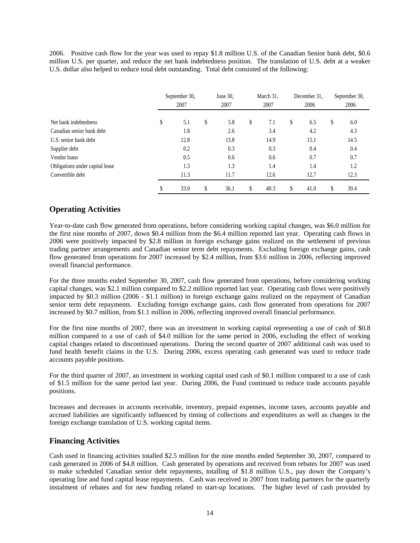2006. Positive cash flow for the year was used to repay \$1.8 million U.S. of the Canadian Senior bank debt, \$0.6 million U.S. per quarter, and reduce the net bank indebtedness position. The translation of U.S. debt at a weaker U.S. dollar also helped to reduce total debt outstanding. Total debt consisted of the following:

|                                 |    | September 30,<br>2007 | June 30,<br>2007 |    | March 31.<br>2007 | December 31,<br>2006 | September 30,<br>2006 |
|---------------------------------|----|-----------------------|------------------|----|-------------------|----------------------|-----------------------|
| Net bank indebtedness           | \$ | 5.1                   | \$<br>5.8        | \$ | 7.1               | \$<br>6.5            | \$<br>6.0             |
| Canadian senior bank debt       |    | 1.8                   | 2.6              |    | 3.4               | 4.2                  | 4.3                   |
| U.S. senior bank debt           |    | 12.8                  | 13.8             |    | 14.9              | 15.1                 | 14.5                  |
| Supplier debt                   |    | 0.2                   | 0.3              |    | 0.3               | 0.4                  | 0.4                   |
| Vendor loans                    |    | 0.5                   | 0.6              |    | 0.6               | 0.7                  | 0.7                   |
| Obligations under capital lease |    | 1.3                   | 1.3              |    | 1.4               | 1.4                  | 1.2                   |
| Convertible debt                |    | 11.3                  | 11.7             |    | 12.6              | 12.7                 | 12.3                  |
|                                 | J  | 33.0                  | \$<br>36.1       | S  | 40.3              | \$<br>41.0           | \$<br>39.4            |

### **Operating Activities**

Year-to-date cash flow generated from operations, before considering working capital changes, was \$6.0 million for the first nine months of 2007, down \$0.4 million from the \$6.4 million reported last year. Operating cash flows in 2006 were positively impacted by \$2.8 million in foreign exchange gains realized on the settlement of previous trading partner arrangements and Canadian senior term debt repayments. Excluding foreign exchange gains, cash flow generated from operations for 2007 increased by \$2.4 million, from \$3.6 million in 2006, reflecting improved overall financial performance.

For the three months ended September 30, 2007, cash flow generated from operations, before considering working capital changes, was \$2.1 million compared to \$2.2 million reported last year. Operating cash flows were positively impacted by \$0.3 million (2006 - \$1.1 million) in foreign exchange gains realized on the repayment of Canadian senior term debt repayments. Excluding foreign exchange gains, cash flow generated from operations for 2007 increased by \$0.7 million, from \$1.1 million in 2006, reflecting improved overall financial performance.

For the first nine months of 2007, there was an investment in working capital representing a use of cash of \$0.8 million compared to a use of cash of \$4.0 million for the same period in 2006, excluding the effect of working capital changes related to discontinued operations. During the second quarter of 2007 additional cash was used to fund health benefit claims in the U.S. During 2006, excess operating cash generated was used to reduce trade accounts payable positions.

For the third quarter of 2007, an investment in working capital used cash of \$0.1 million compared to a use of cash of \$1.5 million for the same period last year. During 2006, the Fund continued to reduce trade accounts payable positions.

Increases and decreases in accounts receivable, inventory, prepaid expenses, income taxes, accounts payable and accrued liabilities are significantly influenced by timing of collections and expenditures as well as changes in the foreign exchange translation of U.S. working capital items.

### **Financing Activities**

Cash used in financing activities totalled \$2.5 million for the nine months ended September 30, 2007, compared to cash generated in 2006 of \$4.8 million. Cash generated by operations and received from rebates for 2007 was used to make scheduled Canadian senior debt repayments, totalling of \$1.8 million U.S., pay down the Company's operating line and fund capital lease repayments.Cash was received in 2007 from trading partners for the quarterly instalment of rebates and for new funding related to start-up locations. The higher level of cash provided by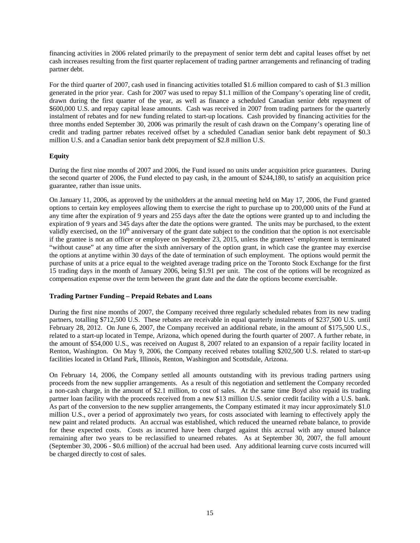financing activities in 2006 related primarily to the prepayment of senior term debt and capital leases offset by net cash increases resulting from the first quarter replacement of trading partner arrangements and refinancing of trading partner debt.

For the third quarter of 2007, cash used in financing activities totalled \$1.6 million compared to cash of \$1.3 million generated in the prior year. Cash for 2007 was used to repay \$1.1 million of the Company's operating line of credit, drawn during the first quarter of the year, as well as finance a scheduled Canadian senior debt repayment of \$600,000 U.S. and repay capital lease amounts. Cash was received in 2007 from trading partners for the quarterly instalment of rebates and for new funding related to start-up locations. Cash provided by financing activities for the three months ended September 30, 2006 was primarily the result of cash drawn on the Company's operating line of credit and trading partner rebates received offset by a scheduled Canadian senior bank debt repayment of \$0.3 million U.S. and a Canadian senior bank debt prepayment of \$2.8 million U.S.

#### **Equity**

During the first nine months of 2007 and 2006, the Fund issued no units under acquisition price guarantees. During the second quarter of 2006, the Fund elected to pay cash, in the amount of \$244,180, to satisfy an acquisition price guarantee, rather than issue units.

On January 11, 2006, as approved by the unitholders at the annual meeting held on May 17, 2006, the Fund granted options to certain key employees allowing them to exercise the right to purchase up to 200,000 units of the Fund at any time after the expiration of 9 years and 255 days after the date the options were granted up to and including the expiration of 9 years and 345 days after the date the options were granted. The units may be purchased, to the extent validly exercised, on the  $10<sup>th</sup>$  anniversary of the grant date subject to the condition that the option is not exercisable if the grantee is not an officer or employee on September 23, 2015, unless the grantees' employment is terminated "without cause" at any time after the sixth anniversary of the option grant, in which case the grantee may exercise the options at anytime within 30 days of the date of termination of such employment. The options would permit the purchase of units at a price equal to the weighted average trading price on the Toronto Stock Exchange for the first 15 trading days in the month of January 2006, being \$1.91 per unit. The cost of the options will be recognized as compensation expense over the term between the grant date and the date the options become exercisable.

#### **Trading Partner Funding – Prepaid Rebates and Loans**

During the first nine months of 2007, the Company received three regularly scheduled rebates from its new trading partners, totalling \$712,500 U.S. These rebates are receivable in equal quarterly instalments of \$237,500 U.S. until February 28, 2012. On June 6, 2007, the Company received an additional rebate, in the amount of \$175,500 U.S., related to a start-up located in Tempe, Arizona, which opened during the fourth quarter of 2007. A further rebate, in the amount of \$54,000 U.S., was received on August 8, 2007 related to an expansion of a repair facility located in Renton, Washington. On May 9, 2006, the Company received rebates totalling \$202,500 U.S. related to start-up facilities located in Orland Park, Illinois, Renton, Washington and Scottsdale, Arizona.

On February 14, 2006, the Company settled all amounts outstanding with its previous trading partners using proceeds from the new supplier arrangements. As a result of this negotiation and settlement the Company recorded a non-cash charge, in the amount of \$2.1 million, to cost of sales. At the same time Boyd also repaid its trading partner loan facility with the proceeds received from a new \$13 million U.S. senior credit facility with a U.S. bank. As part of the conversion to the new supplier arrangements, the Company estimated it may incur approximately \$1.0 million U.S., over a period of approximately two years, for costs associated with learning to effectively apply the new paint and related products. An accrual was established, which reduced the unearned rebate balance, to provide for these expected costs. Costs as incurred have been charged against this accrual with any unused balance remaining after two years to be reclassified to unearned rebates. As at September 30, 2007, the full amount (September 30, 2006 - \$0.6 million) of the accrual had been used. Any additional learning curve costs incurred will be charged directly to cost of sales.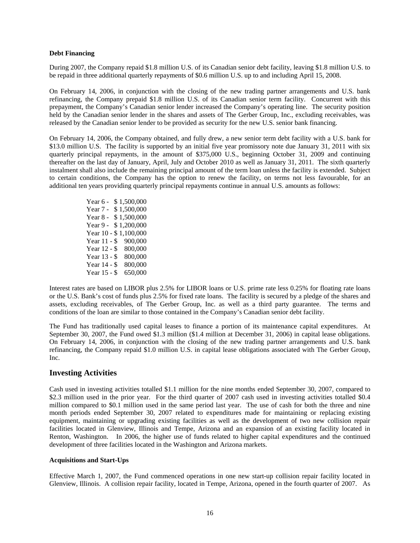#### **Debt Financing**

During 2007, the Company repaid \$1.8 million U.S. of its Canadian senior debt facility, leaving \$1.8 million U.S. to be repaid in three additional quarterly repayments of \$0.6 million U.S. up to and including April 15, 2008.

On February 14, 2006, in conjunction with the closing of the new trading partner arrangements and U.S. bank refinancing, the Company prepaid \$1.8 million U.S. of its Canadian senior term facility. Concurrent with this prepayment, the Company's Canadian senior lender increased the Company's operating line. The security position held by the Canadian senior lender in the shares and assets of The Gerber Group, Inc., excluding receivables, was released by the Canadian senior lender to be provided as security for the new U.S. senior bank financing.

On February 14, 2006, the Company obtained, and fully drew, a new senior term debt facility with a U.S. bank for \$13.0 million U.S. The facility is supported by an initial five year promissory note due January 31, 2011 with six quarterly principal repayments, in the amount of \$375,000 U.S., beginning October 31, 2009 and continuing thereafter on the last day of January, April, July and October 2010 as well as January 31, 2011. The sixth quarterly instalment shall also include the remaining principal amount of the term loan unless the facility is extended. Subject to certain conditions, the Company has the option to renew the facility, on terms not less favourable, for an additional ten years providing quarterly principal repayments continue in annual U.S. amounts as follows:

> Year 6 - \$1,500,000 Year 7 - \$1,500,000 Year 8 - \$1,500,000 Year 9 - \$1,200,000 Year 10 - \$1,100,000 Year 11 - \$ 900,000 Year 12 - \$ 800,000 Year 13 - \$ 800,000 Year 14 - \$ 800,000 Year 15 - \$ 650,000

Interest rates are based on LIBOR plus 2.5% for LIBOR loans or U.S. prime rate less 0.25% for floating rate loans or the U.S. Bank's cost of funds plus 2.5% for fixed rate loans. The facility is secured by a pledge of the shares and assets, excluding receivables, of The Gerber Group, Inc. as well as a third party guarantee. The terms and conditions of the loan are similar to those contained in the Company's Canadian senior debt facility.

The Fund has traditionally used capital leases to finance a portion of its maintenance capital expenditures. At September 30, 2007, the Fund owed \$1.3 million (\$1.4 million at December 31, 2006) in capital lease obligations. On February 14, 2006, in conjunction with the closing of the new trading partner arrangements and U.S. bank refinancing, the Company repaid \$1.0 million U.S. in capital lease obligations associated with The Gerber Group, Inc.

### **Investing Activities**

Cash used in investing activities totalled \$1.1 million for the nine months ended September 30, 2007, compared to \$2.3 million used in the prior year. For the third quarter of 2007 cash used in investing activities totalled \$0.4 million compared to \$0.1 million used in the same period last year. The use of cash for both the three and nine month periods ended September 30, 2007 related to expenditures made for maintaining or replacing existing equipment, maintaining or upgrading existing facilities as well as the development of two new collision repair facilities located in Glenview, Illinois and Tempe, Arizona and an expansion of an existing facility located in Renton, Washington. In 2006, the higher use of funds related to higher capital expenditures and the continued development of three facilities located in the Washington and Arizona markets.

#### **Acquisitions and Start-Ups**

Effective March 1, 2007, the Fund commenced operations in one new start-up collision repair facility located in Glenview, Illinois. A collision repair facility, located in Tempe, Arizona, opened in the fourth quarter of 2007. As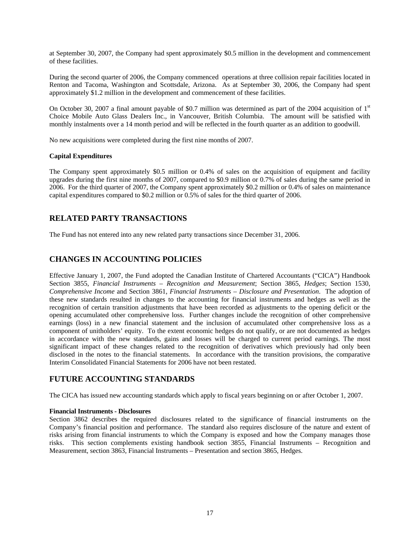at September 30, 2007, the Company had spent approximately \$0.5 million in the development and commencement of these facilities.

During the second quarter of 2006, the Company commenced operations at three collision repair facilities located in Renton and Tacoma, Washington and Scottsdale, Arizona. As at September 30, 2006, the Company had spent approximately \$1.2 million in the development and commencement of these facilities.

On October 30, 2007 a final amount payable of \$0.7 million was determined as part of the 2004 acquisition of  $1<sup>st</sup>$ Choice Mobile Auto Glass Dealers Inc., in Vancouver, British Columbia. The amount will be satisfied with monthly instalments over a 14 month period and will be reflected in the fourth quarter as an addition to goodwill.

No new acquisitions were completed during the first nine months of 2007.

#### **Capital Expenditures**

The Company spent approximately \$0.5 million or 0.4% of sales on the acquisition of equipment and facility upgrades during the first nine months of 2007, compared to \$0.9 million or 0.7% of sales during the same period in 2006. For the third quarter of 2007, the Company spent approximately \$0.2 million or 0.4% of sales on maintenance capital expenditures compared to \$0.2 million or 0.5% of sales for the third quarter of 2006.

### **RELATED PARTY TRANSACTIONS**

The Fund has not entered into any new related party transactions since December 31, 2006.

### **CHANGES IN ACCOUNTING POLICIES**

Effective January 1, 2007, the Fund adopted the Canadian Institute of Chartered Accountants ("CICA") Handbook Section 3855, *Financial Instruments – Recognition and Measurement*; Section 3865, *Hedges*; Section 1530, *Comprehensive Income* and Section 3861, *Financial Instruments – Disclosure and Presentation*. The adoption of these new standards resulted in changes to the accounting for financial instruments and hedges as well as the recognition of certain transition adjustments that have been recorded as adjustments to the opening deficit or the opening accumulated other comprehensive loss. Further changes include the recognition of other comprehensive earnings (loss) in a new financial statement and the inclusion of accumulated other comprehensive loss as a component of unitholders' equity. To the extent economic hedges do not qualify, or are not documented as hedges in accordance with the new standards, gains and losses will be charged to current period earnings. The most significant impact of these changes related to the recognition of derivatives which previously had only been disclosed in the notes to the financial statements. In accordance with the transition provisions, the comparative Interim Consolidated Financial Statements for 2006 have not been restated.

### **FUTURE ACCOUNTING STANDARDS**

The CICA has issued new accounting standards which apply to fiscal years beginning on or after October 1, 2007.

#### **Financial Instruments - Disclosures**

Section 3862 describes the required disclosures related to the significance of financial instruments on the Company's financial position and performance. The standard also requires disclosure of the nature and extent of risks arising from financial instruments to which the Company is exposed and how the Company manages those risks. This section complements existing handbook section 3855, Financial Instruments – Recognition and Measurement, section 3863, Financial Instruments – Presentation and section 3865, Hedges.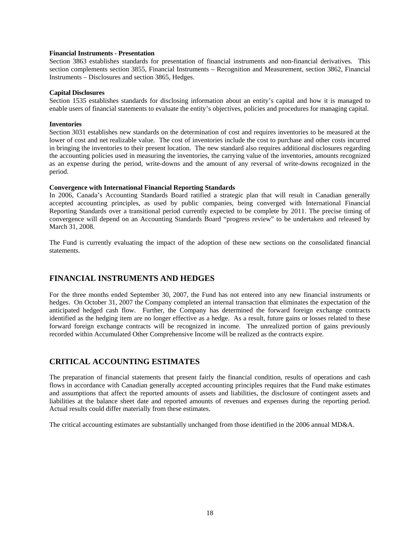#### **Financial Instruments - Presentation**

Section 3863 establishes standards for presentation of financial instruments and non-financial derivatives. This section complements section 3855, Financial Instruments – Recognition and Measurement, section 3862, Financial Instruments – Disclosures and section 3865, Hedges.

#### **Capital Disclosures**

Section 1535 establishes standards for disclosing information about an entity's capital and how it is managed to enable users of financial statements to evaluate the entity's objectives, policies and procedures for managing capital.

#### **Inventories**

Section 3031 establishes new standards on the determination of cost and requires inventories to be measured at the lower of cost and net realizable value. The cost of inventories include the cost to purchase and other costs incurred in bringing the inventories to their present location. The new standard also requires additional disclosures regarding the accounting policies used in measuring the inventories, the carrying value of the inventories, amounts recognized as an expense during the period, write-downs and the amount of any reversal of write-downs recognized in the period.

#### **Convergence with International Financial Reporting Standards**

In 2006, Canada's Accounting Standards Board ratified a strategic plan that will result in Canadian generally accepted accounting principles, as used by public companies, being converged with International Financial Reporting Standards over a transitional period currently expected to be complete by 2011. The precise timing of convergence will depend on an Accounting Standards Board "progress review" to be undertaken and released by March 31, 2008.

The Fund is currently evaluating the impact of the adoption of these new sections on the consolidated financial statements.

### **FINANCIAL INSTRUMENTS AND HEDGES**

For the three months ended September 30, 2007, the Fund has not entered into any new financial instruments or hedges. On October 31, 2007 the Company completed an internal transaction that eliminates the expectation of the anticipated hedged cash flow. Further, the Company has determined the forward foreign exchange contracts identified as the hedging item are no longer effective as a hedge. As a result, future gains or losses related to these forward foreign exchange contracts will be recognized in income. The unrealized portion of gains previously recorded within Accumulated Other Comprehensive Income will be realized as the contracts expire.

### **CRITICAL ACCOUNTING ESTIMATES**

The preparation of financial statements that present fairly the financial condition, results of operations and cash flows in accordance with Canadian generally accepted accounting principles requires that the Fund make estimates and assumptions that affect the reported amounts of assets and liabilities, the disclosure of contingent assets and liabilities at the balance sheet date and reported amounts of revenues and expenses during the reporting period. Actual results could differ materially from these estimates.

The critical accounting estimates are substantially unchanged from those identified in the 2006 annual MD&A.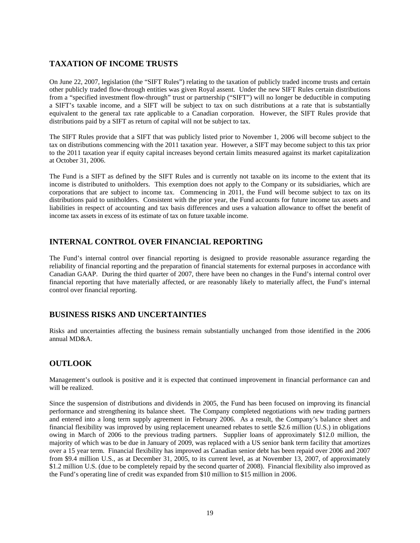### **TAXATION OF INCOME TRUSTS**

On June 22, 2007, legislation (the "SIFT Rules") relating to the taxation of publicly traded income trusts and certain other publicly traded flow-through entities was given Royal assent. Under the new SIFT Rules certain distributions from a "specified investment flow-through" trust or partnership ("SIFT") will no longer be deductible in computing a SIFT's taxable income, and a SIFT will be subject to tax on such distributions at a rate that is substantially equivalent to the general tax rate applicable to a Canadian corporation. However, the SIFT Rules provide that distributions paid by a SIFT as return of capital will not be subject to tax.

The SIFT Rules provide that a SIFT that was publicly listed prior to November 1, 2006 will become subject to the tax on distributions commencing with the 2011 taxation year. However, a SIFT may become subject to this tax prior to the 2011 taxation year if equity capital increases beyond certain limits measured against its market capitalization at October 31, 2006.

The Fund is a SIFT as defined by the SIFT Rules and is currently not taxable on its income to the extent that its income is distributed to unitholders. This exemption does not apply to the Company or its subsidiaries, which are corporations that are subject to income tax. Commencing in 2011, the Fund will become subject to tax on its distributions paid to unitholders. Consistent with the prior year, the Fund accounts for future income tax assets and liabilities in respect of accounting and tax basis differences and uses a valuation allowance to offset the benefit of income tax assets in excess of its estimate of tax on future taxable income.

### **INTERNAL CONTROL OVER FINANCIAL REPORTING**

The Fund's internal control over financial reporting is designed to provide reasonable assurance regarding the reliability of financial reporting and the preparation of financial statements for external purposes in accordance with Canadian GAAP. During the third quarter of 2007, there have been no changes in the Fund's internal control over financial reporting that have materially affected, or are reasonably likely to materially affect, the Fund's internal control over financial reporting.

### **BUSINESS RISKS AND UNCERTAINTIES**

Risks and uncertainties affecting the business remain substantially unchanged from those identified in the 2006 annual MD&A.

### **OUTLOOK**

Management's outlook is positive and it is expected that continued improvement in financial performance can and will be realized.

Since the suspension of distributions and dividends in 2005, the Fund has been focused on improving its financial performance and strengthening its balance sheet. The Company completed negotiations with new trading partners and entered into a long term supply agreement in February 2006. As a result, the Company's balance sheet and financial flexibility was improved by using replacement unearned rebates to settle \$2.6 million (U.S.) in obligations owing in March of 2006 to the previous trading partners. Supplier loans of approximately \$12.0 million, the majority of which was to be due in January of 2009, was replaced with a US senior bank term facility that amortizes over a 15 year term. Financial flexibility has improved as Canadian senior debt has been repaid over 2006 and 2007 from \$9.4 million U.S., as at December 31, 2005, to its current level, as at November 13, 2007, of approximately \$1.2 million U.S. (due to be completely repaid by the second quarter of 2008). Financial flexibility also improved as the Fund's operating line of credit was expanded from \$10 million to \$15 million in 2006.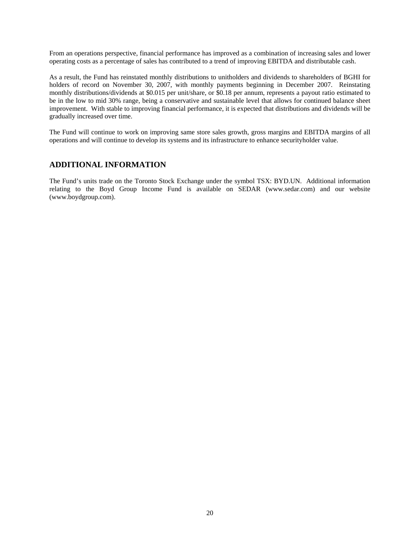From an operations perspective, financial performance has improved as a combination of increasing sales and lower operating costs as a percentage of sales has contributed to a trend of improving EBITDA and distributable cash.

As a result, the Fund has reinstated monthly distributions to unitholders and dividends to shareholders of BGHI for holders of record on November 30, 2007, with monthly payments beginning in December 2007. Reinstating monthly distributions/dividends at \$0.015 per unit/share, or \$0.18 per annum, represents a payout ratio estimated to be in the low to mid 30% range, being a conservative and sustainable level that allows for continued balance sheet improvement. With stable to improving financial performance, it is expected that distributions and dividends will be gradually increased over time.

The Fund will continue to work on improving same store sales growth, gross margins and EBITDA margins of all operations and will continue to develop its systems and its infrastructure to enhance securityholder value.

### **ADDITIONAL INFORMATION**

The Fund's units trade on the Toronto Stock Exchange under the symbol TSX: BYD.UN. Additional information relating to the Boyd Group Income Fund is available on SEDAR (www.sedar.com) and our website (www.boydgroup.com).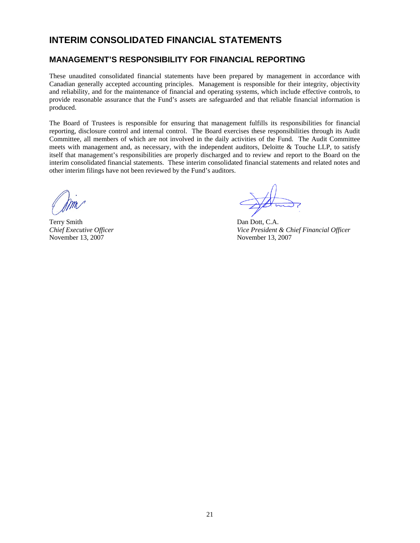### **INTERIM CONSOLIDATED FINANCIAL STATEMENTS**

### **MANAGEMENT'S RESPONSIBILITY FOR FINANCIAL REPORTING**

These unaudited consolidated financial statements have been prepared by management in accordance with Canadian generally accepted accounting principles. Management is responsible for their integrity, objectivity and reliability, and for the maintenance of financial and operating systems, which include effective controls, to provide reasonable assurance that the Fund's assets are safeguarded and that reliable financial information is produced.

The Board of Trustees is responsible for ensuring that management fulfills its responsibilities for financial reporting, disclosure control and internal control. The Board exercises these responsibilities through its Audit Committee, all members of which are not involved in the daily activities of the Fund. The Audit Committee meets with management and, as necessary, with the independent auditors, Deloitte & Touche LLP, to satisfy itself that management's responsibilities are properly discharged and to review and report to the Board on the interim consolidated financial statements. These interim consolidated financial statements and related notes and other interim filings have not been reviewed by the Fund's auditors.

Terry Smith Dan Dott, C.A. November 13, 2007 November 13, 2007

*Chief Executive Officer Chief Executive Officer Vice President & Chief Financial Officer*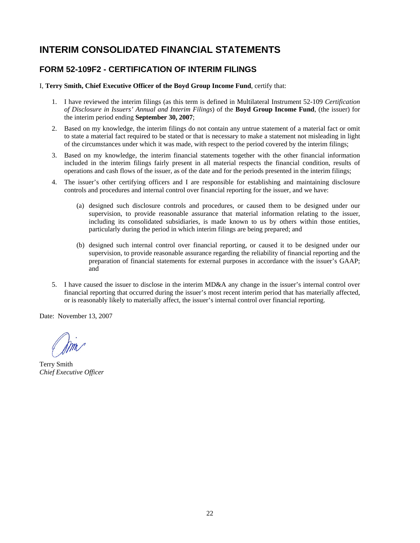# **INTERIM CONSOLIDATED FINANCIAL STATEMENTS**

### **FORM 52-109F2 - CERTIFICATION OF INTERIM FILINGS**

I, **Terry Smith, Chief Executive Officer of the Boyd Group Income Fund**, certify that:

- 1. I have reviewed the interim filings (as this term is defined in Multilateral Instrument 52-109 *Certification of Disclosure in Issuers' Annual and Interim Filings*) of the **Boyd Group Income Fund**, (the issuer) for the interim period ending **September 30, 2007**;
- 2. Based on my knowledge, the interim filings do not contain any untrue statement of a material fact or omit to state a material fact required to be stated or that is necessary to make a statement not misleading in light of the circumstances under which it was made, with respect to the period covered by the interim filings;
- 3. Based on my knowledge, the interim financial statements together with the other financial information included in the interim filings fairly present in all material respects the financial condition, results of operations and cash flows of the issuer, as of the date and for the periods presented in the interim filings;
- 4. The issuer's other certifying officers and I are responsible for establishing and maintaining disclosure controls and procedures and internal control over financial reporting for the issuer, and we have:
	- (a) designed such disclosure controls and procedures, or caused them to be designed under our supervision, to provide reasonable assurance that material information relating to the issuer, including its consolidated subsidiaries, is made known to us by others within those entities, particularly during the period in which interim filings are being prepared; and
	- (b) designed such internal control over financial reporting, or caused it to be designed under our supervision, to provide reasonable assurance regarding the reliability of financial reporting and the preparation of financial statements for external purposes in accordance with the issuer's GAAP; and
- 5. I have caused the issuer to disclose in the interim MD&A any change in the issuer's internal control over financial reporting that occurred during the issuer's most recent interim period that has materially affected, or is reasonably likely to materially affect, the issuer's internal control over financial reporting.

Date: November 13, 2007

 Terry Smith *Chief Executive Officer*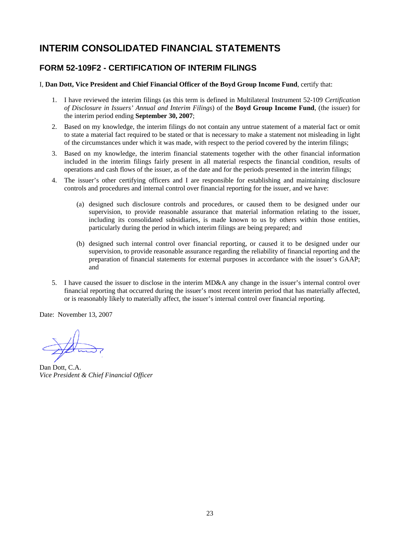# **INTERIM CONSOLIDATED FINANCIAL STATEMENTS**

### **FORM 52-109F2 - CERTIFICATION OF INTERIM FILINGS**

I, **Dan Dott, Vice President and Chief Financial Officer of the Boyd Group Income Fund**, certify that:

- 1. I have reviewed the interim filings (as this term is defined in Multilateral Instrument 52-109 *Certification of Disclosure in Issuers' Annual and Interim Filings*) of the **Boyd Group Income Fund**, (the issuer) for the interim period ending **September 30, 2007**;
- 2. Based on my knowledge, the interim filings do not contain any untrue statement of a material fact or omit to state a material fact required to be stated or that is necessary to make a statement not misleading in light of the circumstances under which it was made, with respect to the period covered by the interim filings;
- 3. Based on my knowledge, the interim financial statements together with the other financial information included in the interim filings fairly present in all material respects the financial condition, results of operations and cash flows of the issuer, as of the date and for the periods presented in the interim filings;
- 4. The issuer's other certifying officers and I are responsible for establishing and maintaining disclosure controls and procedures and internal control over financial reporting for the issuer, and we have:
	- (a) designed such disclosure controls and procedures, or caused them to be designed under our supervision, to provide reasonable assurance that material information relating to the issuer, including its consolidated subsidiaries, is made known to us by others within those entities, particularly during the period in which interim filings are being prepared; and
	- (b) designed such internal control over financial reporting, or caused it to be designed under our supervision, to provide reasonable assurance regarding the reliability of financial reporting and the preparation of financial statements for external purposes in accordance with the issuer's GAAP; and
- 5. I have caused the issuer to disclose in the interim MD&A any change in the issuer's internal control over financial reporting that occurred during the issuer's most recent interim period that has materially affected, or is reasonably likely to materially affect, the issuer's internal control over financial reporting.

Date: November 13, 2007

 Dan Dott, C.A. *Vice President & Chief Financial Officer*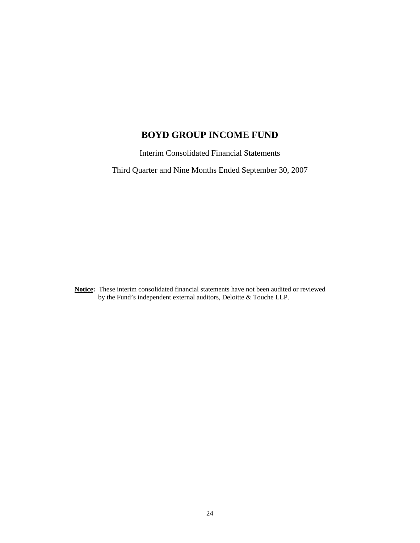# **BOYD GROUP INCOME FUND**

Interim Consolidated Financial Statements

Third Quarter and Nine Months Ended September 30, 2007

**Notice:** These interim consolidated financial statements have not been audited or reviewed by the Fund's independent external auditors, Deloitte & Touche LLP.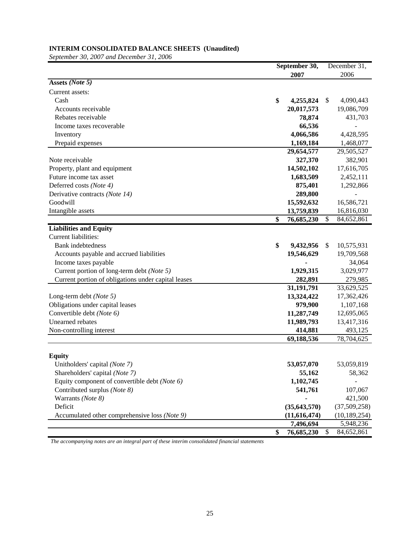### **INTERIM CONSOLIDATED BALANCE SHEETS (Unaudited)**

*September 30, 2007 and December 31, 2006*

|                                                     | September 30, |                |    | December 31,   |
|-----------------------------------------------------|---------------|----------------|----|----------------|
|                                                     |               | 2007           |    | 2006           |
| Assets (Note 5)                                     |               |                |    |                |
| Current assets:                                     |               |                |    |                |
| Cash                                                | \$            | 4,255,824      | \$ | 4,090,443      |
| Accounts receivable                                 |               | 20,017,573     |    | 19,086,709     |
| Rebates receivable                                  |               | 78,874         |    | 431,703        |
| Income taxes recoverable                            |               | 66,536         |    |                |
| Inventory                                           |               | 4,066,586      |    | 4,428,595      |
| Prepaid expenses                                    |               | 1,169,184      |    | 1,468,077      |
|                                                     |               | 29,654,577     |    | 29,505,527     |
| Note receivable                                     |               | 327,370        |    | 382,901        |
| Property, plant and equipment                       |               | 14,502,102     |    | 17,616,705     |
| Future income tax asset                             |               | 1,683,509      |    | 2,452,111      |
| Deferred costs (Note 4)                             |               | 875,401        |    | 1,292,866      |
| Derivative contracts (Note 14)                      |               | 289,800        |    |                |
| Goodwill                                            |               | 15,592,632     |    | 16,586,721     |
| Intangible assets                                   |               | 13,759,839     |    | 16,816,030     |
|                                                     | \$            | 76,685,230     | \$ | 84,652,861     |
| <b>Liabilities and Equity</b>                       |               |                |    |                |
| Current liabilities:                                |               |                |    |                |
| <b>Bank</b> indebtedness                            | \$            | 9,432,956      | \$ | 10,575,931     |
| Accounts payable and accrued liabilities            |               | 19,546,629     |    | 19,709,568     |
| Income taxes payable                                |               |                |    | 34,064         |
| Current portion of long-term debt (Note 5)          |               | 1,929,315      |    | 3,029,977      |
| Current portion of obligations under capital leases |               | 282,891        |    | 279,985        |
|                                                     |               | 31,191,791     |    | 33,629,525     |
| Long-term debt (Note 5)                             |               | 13,324,422     |    | 17,362,426     |
| Obligations under capital leases                    |               | 979,900        |    | 1,107,168      |
| Convertible debt (Note 6)                           |               | 11,287,749     |    | 12,695,065     |
| Unearned rebates                                    |               | 11,989,793     |    | 13,417,316     |
| Non-controlling interest                            |               | 414,881        |    | 493,125        |
|                                                     |               | 69,188,536     |    | 78,704,625     |
|                                                     |               |                |    |                |
| <b>Equity</b>                                       |               |                |    |                |
| Unitholders' capital (Note 7)                       |               | 53,057,070     |    | 53,059,819     |
| Shareholders' capital (Note 7)                      |               | 55,162         |    | 58,362         |
| Equity component of convertible debt (Note 6)       |               | 1,102,745      |    |                |
| Contributed surplus (Note 8)                        |               | 541,761        |    | 107,067        |
| Warrants (Note 8)                                   |               |                |    | 421,500        |
| Deficit                                             |               | (35, 643, 570) |    | (37,509,258)   |
| Accumulated other comprehensive loss (Note 9)       |               | (11,616,474)   |    | (10, 189, 254) |
|                                                     |               | 7,496,694      |    | 5,948,236      |
|                                                     | \$            | 76,685,230     | \$ | 84,652,861     |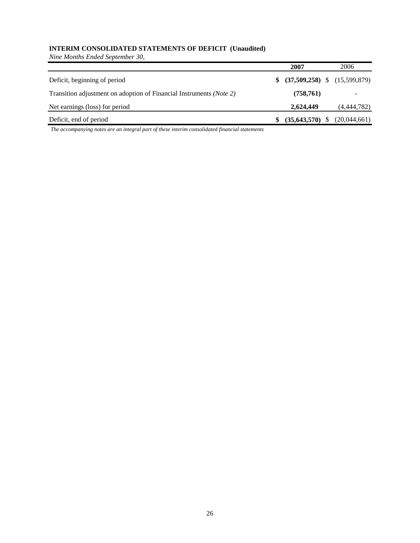### **INTERIM CONSOLIDATED STATEMENTS OF DEFICIT (Unaudited)**

*Nine Months Ended September 30,*

|                                                                     | 2007                             | 2006         |
|---------------------------------------------------------------------|----------------------------------|--------------|
| Deficit, beginning of period                                        | $$$ (37,509,258) \; (15,599,879) |              |
| Transition adjustment on adoption of Financial Instruments (Note 2) | (758, 761)                       |              |
| Net earnings (loss) for period                                      | 2.624.449                        | (4,444,782)  |
| Deficit, end of period                                              | (35, 643, 570)                   | (20,044,661) |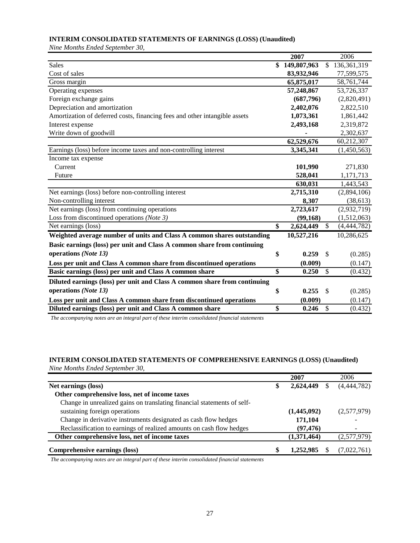### **INTERIM CONSOLIDATED STATEMENTS OF EARNINGS (LOSS) (Unaudited)**

*Nine Months Ended September 30,*

|                                                                            | 2007              |               | 2006          |
|----------------------------------------------------------------------------|-------------------|---------------|---------------|
| Sales                                                                      | \$<br>149,807,963 | \$            | 136, 361, 319 |
| Cost of sales                                                              | 83,932,946        |               | 77,599,575    |
| Gross margin                                                               | 65,875,017        |               | 58,761,744    |
| Operating expenses                                                         | 57,248,867        |               | 53,726,337    |
| Foreign exchange gains                                                     | (687, 796)        |               | (2,820,491)   |
| Depreciation and amortization                                              | 2,402,076         |               | 2,822,510     |
| Amortization of deferred costs, financing fees and other intangible assets | 1,073,361         |               | 1,861,442     |
| Interest expense                                                           | 2,493,168         |               | 2,319,872     |
| Write down of goodwill                                                     |                   |               | 2,302,637     |
|                                                                            | 62,529,676        |               | 60,212,307    |
| Earnings (loss) before income taxes and non-controlling interest           | 3,345,341         |               | (1,450,563)   |
| Income tax expense                                                         |                   |               |               |
| Current                                                                    | 101,990           |               | 271,830       |
| Future                                                                     | 528,041           |               | 1,171,713     |
|                                                                            | 630,031           |               | 1,443,543     |
| Net earnings (loss) before non-controlling interest                        | 2,715,310         |               | (2,894,106)   |
| Non-controlling interest                                                   | 8,307             |               | (38, 613)     |
| Net earnings (loss) from continuing operations                             | 2,723,617         |               | (2,932,719)   |
| Loss from discontinued operations (Note 3)                                 | (99, 168)         |               | (1,512,063)   |
| Net earnings (loss)                                                        | \$<br>2,624,449   | $\mathbb{S}$  | (4,444,782)   |
| Weighted average number of units and Class A common shares outstanding     | 10,527,216        |               | 10,286,625    |
| Basic earnings (loss) per unit and Class A common share from continuing    |                   |               |               |
| operations (Note 13)                                                       | \$<br>0.259       | <sup>\$</sup> | (0.285)       |
| Loss per unit and Class A common share from discontinued operations        | (0.009)           |               | (0.147)       |
| Basic earnings (loss) per unit and Class A common share                    | \$<br>0.250       | $\mathbb{S}$  | (0.432)       |
| Diluted earnings (loss) per unit and Class A common share from continuing  |                   |               |               |
| operations (Note 13)                                                       | \$<br>0.255       | \$            | (0.285)       |
|                                                                            | (0.009)           |               |               |
| Loss per unit and Class A common share from discontinued operations        | \$<br>0.246       | $\mathcal{S}$ | (0.147)       |
| Diluted earnings (loss) per unit and Class A common share                  |                   |               | (0.432)       |

*The accompanying notes are an integral part of these interim consolidated financial statements*

### **INTERIM CONSOLIDATED STATEMENTS OF COMPREHENSIVE EARNINGS (LOSS) (Unaudited)**

*Nine Months Ended September 30,*

|                                                                         |   | 2007        | 2006        |
|-------------------------------------------------------------------------|---|-------------|-------------|
| Net earnings (loss)                                                     | æ | 2,624,449   | (4,444,782) |
| Other comprehensive loss, net of income taxes                           |   |             |             |
| Change in unrealized gains on translating financial statements of self- |   |             |             |
| sustaining foreign operations                                           |   | (1,445,092) | (2,577,979) |
| Change in derivative instruments designated as cash flow hedges         |   | 171,104     |             |
| Reclassification to earnings of realized amounts on cash flow hedges    |   | (97, 476)   |             |
| Other comprehensive loss, net of income taxes                           |   | (1,371,464) | (2,577,979) |
| Comprehensive earnings (loss)                                           |   | 1,252,985   | (7,022,761) |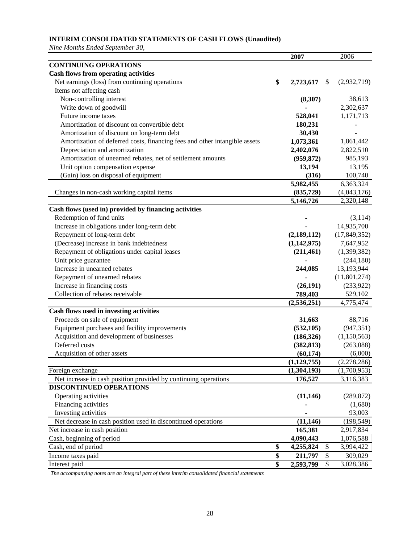### **INTERIM CONSOLIDATED STATEMENTS OF CASH FLOWS (Unaudited)**

*Nine Months Ended September 30,*

|                                                                            | 2007            |    | 2006           |
|----------------------------------------------------------------------------|-----------------|----|----------------|
| <b>CONTINUING OPERATIONS</b>                                               |                 |    |                |
| <b>Cash flows from operating activities</b>                                |                 |    |                |
| Net earnings (loss) from continuing operations                             | \$<br>2,723,617 | -S | (2,932,719)    |
| Items not affecting cash                                                   |                 |    |                |
| Non-controlling interest                                                   | (8,307)         |    | 38,613         |
| Write down of goodwill                                                     |                 |    | 2,302,637      |
| Future income taxes                                                        | 528,041         |    | 1,171,713      |
| Amortization of discount on convertible debt                               | 180,231         |    |                |
| Amortization of discount on long-term debt                                 | 30,430          |    |                |
| Amortization of deferred costs, financing fees and other intangible assets | 1,073,361       |    | 1,861,442      |
| Depreciation and amortization                                              | 2,402,076       |    | 2,822,510      |
| Amortization of unearned rebates, net of settlement amounts                | (959, 872)      |    | 985,193        |
| Unit option compensation expense                                           | 13,194          |    | 13,195         |
| (Gain) loss on disposal of equipment                                       | (316)           |    | 100,740        |
|                                                                            | 5,982,455       |    | 6,363,324      |
| Changes in non-cash working capital items                                  | (835,729)       |    | (4,043,176)    |
|                                                                            | 5,146,726       |    | 2,320,148      |
| Cash flows (used in) provided by financing activities                      |                 |    |                |
| Redemption of fund units                                                   |                 |    | (3,114)        |
| Increase in obligations under long-term debt                               |                 |    | 14,935,700     |
| Repayment of long-term debt                                                | (2,189,112)     |    | (17, 849, 352) |
| (Decrease) increase in bank indebtedness                                   | (1,142,975)     |    | 7,647,952      |
| Repayment of obligations under capital leases                              | (211, 461)      |    | (1,399,382)    |
| Unit price guarantee                                                       |                 |    | (244, 180)     |
| Increase in unearned rebates                                               | 244,085         |    | 13,193,944     |
|                                                                            |                 |    |                |
| Repayment of unearned rebates                                              |                 |    | (11, 801, 274) |
| Increase in financing costs                                                | (26, 191)       |    | (233,922)      |
| Collection of rebates receivable                                           | 789,403         |    | 529,102        |
|                                                                            | (2, 536, 251)   |    | 4,775,474      |
| Cash flows used in investing activities                                    |                 |    |                |
| Proceeds on sale of equipment                                              | 31,663          |    | 88,716         |
| Equipment purchases and facility improvements                              | (532, 105)      |    | (947, 351)     |
| Acquisition and development of businesses                                  | (186, 326)      |    | (1,150,563)    |
| Deferred costs                                                             | (382, 813)      |    | (263,088)      |
| Acquisition of other assets                                                | (60, 174)       |    | (6,000)        |
|                                                                            | (1, 129, 755)   |    | (2, 278, 286)  |
| Foreign exchange                                                           | (1,304,193)     |    | (1,700,953)    |
| Net increase in cash position provided by continuing operations            | 176,527         |    | 3,116,383      |
| DISCONTINUED OPERATIONS                                                    |                 |    |                |
| Operating activities                                                       | (11, 146)       |    | (289, 872)     |
| Financing activities                                                       |                 |    | (1,680)        |
| Investing activities                                                       |                 |    | 93,003         |
| Net decrease in cash position used in discontinued operations              | (11, 146)       |    | (198, 549)     |
| Net increase in cash position                                              | 165,381         |    | 2,917,834      |
| Cash, beginning of period                                                  | 4,090,443       |    | 1,076,588      |
| Cash, end of period                                                        | \$<br>4,255,824 | \$ | 3,994,422      |
| Income taxes paid                                                          | \$<br>211,797   | \$ | 309,029        |
| Interest paid                                                              | \$<br>2,593,799 | \$ | 3,028,386      |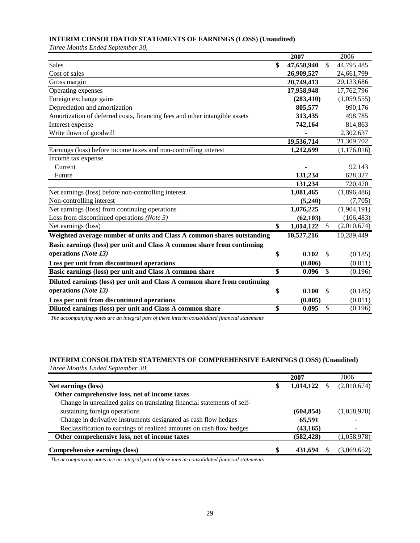### **INTERIM CONSOLIDATED STATEMENTS OF EARNINGS (LOSS) (Unaudited)**

*Three Months Ended September 30,*

|                                                                            | 2007             |               | 2006        |
|----------------------------------------------------------------------------|------------------|---------------|-------------|
| Sales                                                                      | \$<br>47,658,940 | \$            | 44,795,485  |
| Cost of sales                                                              | 26,909,527       |               | 24,661,799  |
| Gross margin                                                               | 20,749,413       |               | 20,133,686  |
| Operating expenses                                                         | 17,958,948       |               | 17,762,796  |
| Foreign exchange gains                                                     | (283, 410)       |               | (1,059,555) |
| Depreciation and amortization                                              | 805,577          |               | 990,176     |
| Amortization of deferred costs, financing fees and other intangible assets | 313,435          |               | 498,785     |
| Interest expense                                                           | 742,164          |               | 814,863     |
| Write down of goodwill                                                     |                  |               | 2,302,637   |
|                                                                            | 19,536,714       |               | 21,309,702  |
| Earnings (loss) before income taxes and non-controlling interest           | 1,212,699        |               | (1,176,016) |
| Income tax expense                                                         |                  |               |             |
| Current                                                                    |                  |               | 92,143      |
| Future                                                                     | 131,234          |               | 628,327     |
|                                                                            | 131,234          |               | 720,470     |
| Net earnings (loss) before non-controlling interest                        | 1,081,465        |               | (1,896,486) |
| Non-controlling interest                                                   | (5,240)          |               | (7,705)     |
| Net earnings (loss) from continuing operations                             | 1,076,225        |               | (1,904,191) |
| Loss from discontinued operations (Note 3)                                 | (62, 103)        |               | (106, 483)  |
| Net earnings (loss)                                                        | \$<br>1,014,122  | $\mathbb{S}$  | (2,010,674) |
| Weighted average number of units and Class A common shares outstanding     | 10,527,216       |               | 10,289,449  |
| Basic earnings (loss) per unit and Class A common share from continuing    |                  |               |             |
| operations (Note 13)                                                       | \$<br>0.102      | - \$          | (0.185)     |
| Loss per unit from discontinued operations                                 | (0.006)          |               | (0.011)     |
| Basic earnings (loss) per unit and Class A common share                    | \$<br>0.096      | $\mathcal{S}$ | (0.196)     |
| Diluted earnings (loss) per unit and Class A common share from continuing  |                  |               |             |
| operations (Note 13)                                                       |                  |               |             |
|                                                                            | \$<br>0.100      | \$            | (0.185)     |
| Loss per unit from discontinued operations                                 | (0.005)          |               | (0.011)     |
| Diluted earnings (loss) per unit and Class A common share                  | \$<br>0.095      | \$            | (0.196)     |

*The accompanying notes are an integral part of these interim consolidated financial statements*

### **INTERIM CONSOLIDATED STATEMENTS OF COMPREHENSIVE EARNINGS (LOSS) (Unaudited)**

*Three Months Ended September 30,*

|                                                                         |   | 2007       | 2006        |
|-------------------------------------------------------------------------|---|------------|-------------|
| Net earnings (loss)                                                     | S | 1,014,122  | (2,010,674) |
| Other comprehensive loss, net of income taxes                           |   |            |             |
| Change in unrealized gains on translating financial statements of self- |   |            |             |
| sustaining foreign operations                                           |   | (604, 854) | (1,058,978) |
| Change in derivative instruments designated as cash flow hedges         |   | 65,591     |             |
| Reclassification to earnings of realized amounts on cash flow hedges    |   | (43, 165)  |             |
| Other comprehensive loss, net of income taxes                           |   | (582, 428) | (1,058,978) |
| Comprehensive earnings (loss)                                           | S | 431.694    | (3,069,652) |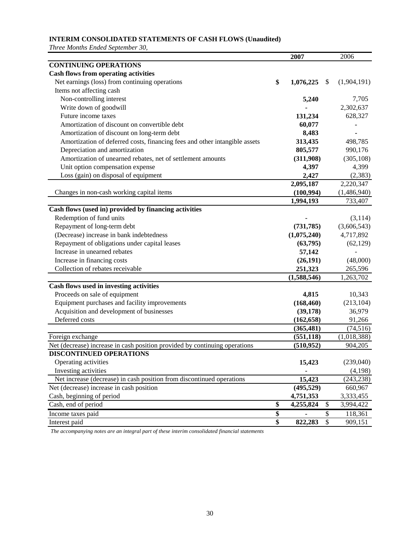### **INTERIM CONSOLIDATED STATEMENTS OF CASH FLOWS (Unaudited)**

*Three Months Ended September 30,*

|                                                                            | 2007            |                          | 2006        |
|----------------------------------------------------------------------------|-----------------|--------------------------|-------------|
| <b>CONTINUING OPERATIONS</b>                                               |                 |                          |             |
| <b>Cash flows from operating activities</b>                                |                 |                          |             |
| Net earnings (loss) from continuing operations                             | \$<br>1,076,225 | \$                       | (1,904,191) |
| Items not affecting cash                                                   |                 |                          |             |
| Non-controlling interest                                                   | 5,240           |                          | 7,705       |
| Write down of goodwill                                                     |                 |                          | 2,302,637   |
| Future income taxes                                                        | 131,234         |                          | 628,327     |
| Amortization of discount on convertible debt                               | 60,077          |                          |             |
| Amortization of discount on long-term debt                                 | 8,483           |                          |             |
| Amortization of deferred costs, financing fees and other intangible assets | 313,435         |                          | 498,785     |
| Depreciation and amortization                                              | 805,577         |                          | 990,176     |
| Amortization of unearned rebates, net of settlement amounts                | (311,908)       |                          | (305, 108)  |
| Unit option compensation expense                                           | 4,397           |                          | 4,399       |
| Loss (gain) on disposal of equipment                                       | 2,427           |                          | (2, 383)    |
|                                                                            | 2,095,187       |                          | 2,220,347   |
| Changes in non-cash working capital items                                  | (100, 994)      |                          | (1,486,940) |
|                                                                            | 1,994,193       |                          | 733,407     |
| Cash flows (used in) provided by financing activities                      |                 |                          |             |
| Redemption of fund units                                                   |                 |                          | (3,114)     |
| Repayment of long-term debt                                                | (731, 785)      |                          | (3,606,543) |
| (Decrease) increase in bank indebtedness                                   | (1,075,240)     |                          | 4,717,892   |
| Repayment of obligations under capital leases                              | (63,795)        |                          | (62, 129)   |
| Increase in unearned rebates                                               |                 |                          |             |
|                                                                            | 57,142          |                          |             |
| Increase in financing costs                                                | (26, 191)       |                          | (48,000)    |
| Collection of rebates receivable                                           | 251,323         |                          | 265,596     |
|                                                                            | (1,588,546)     |                          | 1,263,702   |
| Cash flows used in investing activities                                    |                 |                          |             |
| Proceeds on sale of equipment                                              | 4,815           |                          | 10,343      |
| Equipment purchases and facility improvements                              | (168, 460)      |                          | (213, 104)  |
| Acquisition and development of businesses                                  | (39, 178)       |                          | 36,979      |
| Deferred costs                                                             | (162, 658)      |                          | 91,266      |
|                                                                            | (365, 481)      |                          | (74, 516)   |
| Foreign exchange                                                           | (551, 118)      |                          | (1,018,388) |
| Net (decrease) increase in cash position provided by continuing operations | (510, 952)      |                          | 904,205     |
| DISCONTINUED OPERATIONS                                                    |                 |                          |             |
| Operating activities                                                       | 15,423          |                          | (239,040)   |
| Investing activities                                                       |                 |                          | (4,198)     |
| Net increase (decrease) in cash position from discontinued operations      | 15,423          |                          | (243, 238)  |
| Net (decrease) increase in cash position                                   | (495, 529)      |                          | 660,967     |
| Cash, beginning of period                                                  | 4,751,353       |                          | 3,333,455   |
| Cash, end of period                                                        | \$<br>4,255,824 | \$                       | 3,994,422   |
| Income taxes paid                                                          | \$              | $\overline{\mathcal{S}}$ | 118,361     |
| Interest paid                                                              | \$<br>822,283   | \$                       | 909,151     |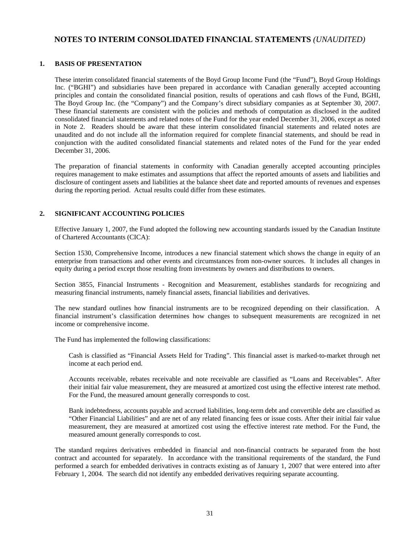### **NOTES TO INTERIM CONSOLIDATED FINANCIAL STATEMENTS** *(UNAUDITED)*

#### **1. BASIS OF PRESENTATION**

These interim consolidated financial statements of the Boyd Group Income Fund (the "Fund"), Boyd Group Holdings Inc. ("BGHI") and subsidiaries have been prepared in accordance with Canadian generally accepted accounting principles and contain the consolidated financial position, results of operations and cash flows of the Fund, BGHI, The Boyd Group Inc. (the "Company") and the Company's direct subsidiary companies as at September 30, 2007. These financial statements are consistent with the policies and methods of computation as disclosed in the audited consolidated financial statements and related notes of the Fund for the year ended December 31, 2006, except as noted in Note 2. Readers should be aware that these interim consolidated financial statements and related notes are unaudited and do not include all the information required for complete financial statements, and should be read in conjunction with the audited consolidated financial statements and related notes of the Fund for the year ended December 31, 2006.

 The preparation of financial statements in conformity with Canadian generally accepted accounting principles requires management to make estimates and assumptions that affect the reported amounts of assets and liabilities and disclosure of contingent assets and liabilities at the balance sheet date and reported amounts of revenues and expenses during the reporting period. Actual results could differ from these estimates.

#### **2. SIGNIFICANT ACCOUNTING POLICIES**

 Effective January 1, 2007, the Fund adopted the following new accounting standards issued by the Canadian Institute of Chartered Accountants (CICA):

Section 1530, Comprehensive Income, introduces a new financial statement which shows the change in equity of an enterprise from transactions and other events and circumstances from non-owner sources. It includes all changes in equity during a period except those resulting from investments by owners and distributions to owners.

Section 3855, Financial Instruments - Recognition and Measurement, establishes standards for recognizing and measuring financial instruments, namely financial assets, financial liabilities and derivatives.

The new standard outlines how financial instruments are to be recognized depending on their classification. A financial instrument's classification determines how changes to subsequent measurements are recognized in net income or comprehensive income.

The Fund has implemented the following classifications:

Cash is classified as "Financial Assets Held for Trading". This financial asset is marked-to-market through net income at each period end.

Accounts receivable, rebates receivable and note receivable are classified as "Loans and Receivables". After their initial fair value measurement, they are measured at amortized cost using the effective interest rate method. For the Fund, the measured amount generally corresponds to cost.

Bank indebtedness, accounts payable and accrued liabilities, long-term debt and convertible debt are classified as "Other Financial Liabilities" and are net of any related financing fees or issue costs. After their initial fair value measurement, they are measured at amortized cost using the effective interest rate method. For the Fund, the measured amount generally corresponds to cost.

The standard requires derivatives embedded in financial and non-financial contracts be separated from the host contract and accounted for separately. In accordance with the transitional requirements of the standard, the Fund performed a search for embedded derivatives in contracts existing as of January 1, 2007 that were entered into after February 1, 2004. The search did not identify any embedded derivatives requiring separate accounting.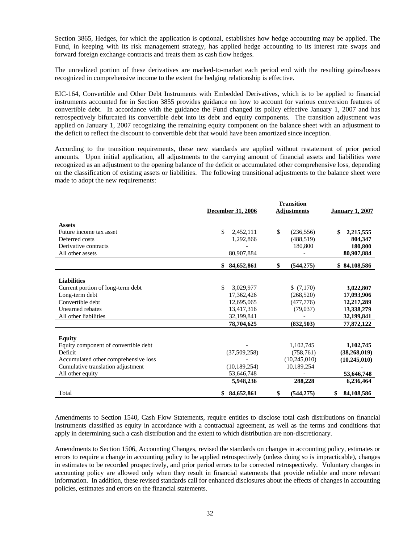Section 3865, Hedges, for which the application is optional, establishes how hedge accounting may be applied. The Fund, in keeping with its risk management strategy, has applied hedge accounting to its interest rate swaps and forward foreign exchange contracts and treats them as cash flow hedges.

The unrealized portion of these derivatives are marked-to-market each period end with the resulting gains/losses recognized in comprehensive income to the extent the hedging relationship is effective.

EIC-164, Convertible and Other Debt Instruments with Embedded Derivatives, which is to be applied to financial instruments accounted for in Section 3855 provides guidance on how to account for various conversion features of convertible debt. In accordance with the guidance the Fund changed its policy effective January 1, 2007 and has retrospectively bifurcated its convertible debt into its debt and equity components. The transition adjustment was applied on January 1, 2007 recognizing the remaining equity component on the balance sheet with an adjustment to the deficit to reflect the discount to convertible debt that would have been amortized since inception.

According to the transition requirements, these new standards are applied without restatement of prior period amounts. Upon initial application, all adjustments to the carrying amount of financial assets and liabilities were recognized as an adjustment to the opening balance of the deficit or accumulated other comprehensive loss, depending on the classification of existing assets or liabilities. The following transitional adjustments to the balance sheet were made to adopt the new requirements:

|                                      | <b>December 31, 2006</b> | <b>January 1, 2007</b> |                  |
|--------------------------------------|--------------------------|------------------------|------------------|
|                                      |                          | <b>Adjustments</b>     |                  |
| <b>Assets</b>                        |                          |                        |                  |
| Future income tax asset              | \$<br>2,452,111          | \$<br>(236, 556)       | 2,215,555<br>\$  |
| Deferred costs                       | 1,292,866                | (488, 519)             | 804,347          |
| Derivative contracts                 |                          | 180,800                | 180,800          |
| All other assets                     | 80,907,884               |                        | 80,907,884       |
|                                      | 84,652,861<br>\$         | \$<br>(544, 275)       | \$84,108,586     |
|                                      |                          |                        |                  |
| <b>Liabilities</b>                   |                          |                        |                  |
| Current portion of long-term debt    | \$<br>3,029,977          | \$(7,170)              | 3,022,807        |
| Long-term debt                       | 17,362,426               | (268, 520)             | 17,093,906       |
| Convertible debt                     | 12,695,065               | (477, 776)             | 12,217,289       |
| Unearned rebates                     | 13,417,316               | (79,037)               | 13,338,279       |
| All other liabilities                | 32,199,841               |                        | 32,199,841       |
|                                      | 78,704,625               | (832,503)              | 77,872,122       |
| <b>Equity</b>                        |                          |                        |                  |
| Equity component of convertible debt |                          | 1,102,745              | 1,102,745        |
| Deficit                              | (37,509,258)             | (758, 761)             | (38, 268, 019)   |
| Accumulated other comprehensive loss |                          | (10,245,010)           | (10, 245, 010)   |
| Cumulative translation adjustment    | (10, 189, 254)           | 10,189,254             |                  |
| All other equity                     | 53,646,748               |                        | 53,646,748       |
|                                      | 5,948,236                | 288,228                | 6,236,464        |
| Total                                | \$84,652,861             | (544, 275)<br>\$       | 84,108,586<br>\$ |

 Amendments to Section 1540, Cash Flow Statements, require entities to disclose total cash distributions on financial instruments classified as equity in accordance with a contractual agreement, as well as the terms and conditions that apply in determining such a cash distribution and the extent to which distribution are non-discretionary.

 Amendments to Section 1506, Accounting Changes, revised the standards on changes in accounting policy, estimates or errors to require a change in accounting policy to be applied retrospectively (unless doing so is impracticable), changes in estimates to be recorded prospectively, and prior period errors to be corrected retrospectively. Voluntary changes in accounting policy are allowed only when they result in financial statements that provide reliable and more relevant information. In addition, these revised standards call for enhanced disclosures about the effects of changes in accounting policies, estimates and errors on the financial statements.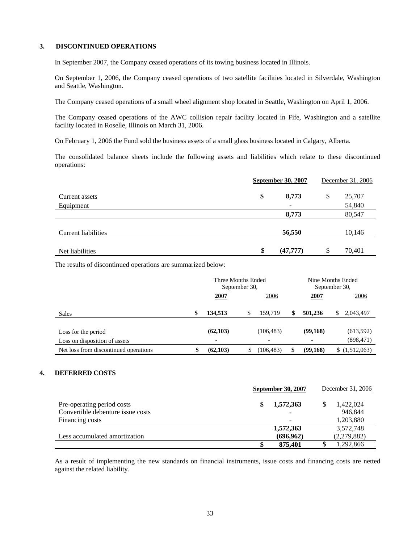#### **3. DISCONTINUED OPERATIONS**

In September 2007, the Company ceased operations of its towing business located in Illinois.

On September 1, 2006, the Company ceased operations of two satellite facilities located in Silverdale, Washington and Seattle, Washington.

The Company ceased operations of a small wheel alignment shop located in Seattle, Washington on April 1, 2006.

The Company ceased operations of the AWC collision repair facility located in Fife, Washington and a satellite facility located in Roselle, Illinois on March 31, 2006.

On February 1, 2006 the Fund sold the business assets of a small glass business located in Calgary, Alberta.

The consolidated balance sheets include the following assets and liabilities which relate to these discontinued operations:

|                     | September 30, 2007 |           | December 31, 2006 |
|---------------------|--------------------|-----------|-------------------|
| Current assets      | \$                 | 8,773     | \$<br>25,707      |
| Equipment           |                    | ٠         | 54,840            |
|                     |                    | 8,773     | 80,547            |
| Current liabilities |                    | 56,550    | 10,146            |
| Net liabilities     | \$                 | (47, 777) | \$<br>70,401      |

The results of discontinued operations are summarized below:

|                                       | Three Months Ended<br>September 30, |    |            | Nine Months Ended<br>September 30, |               |  |
|---------------------------------------|-------------------------------------|----|------------|------------------------------------|---------------|--|
|                                       | 2007                                |    | 2006       | 2007                               | 2006          |  |
| <b>Sales</b>                          | \$<br>134,513                       | \$ | 159.719    | 501,236                            | 2,043,497     |  |
|                                       |                                     |    |            |                                    |               |  |
| Loss for the period                   | (62, 103)                           |    | (106, 483) | (99,168)                           | (613, 592)    |  |
| Loss on disposition of assets         | $\blacksquare$                      |    |            |                                    | (898, 471)    |  |
| Net loss from discontinued operations | (62, 103)                           |    | (106, 483) | (99,168)                           | \$(1,512,063) |  |

#### **4. DEFERRED COSTS**

|                                   | <b>September 30, 2007</b> |            |  | December 31, 2006 |
|-----------------------------------|---------------------------|------------|--|-------------------|
| Pre-operating period costs        | \$                        | 1,572,363  |  | 1,422,024         |
| Convertible debenture issue costs |                           | ۰          |  | 946.844           |
| Financing costs                   |                           |            |  | 1,203,880         |
|                                   |                           | 1,572,363  |  | 3,572,748         |
| Less accumulated amortization     |                           | (696, 962) |  | (2,279,882)       |
|                                   | \$                        | 875,401    |  | 1,292,866         |

 As a result of implementing the new standards on financial instruments, issue costs and financing costs are netted against the related liability.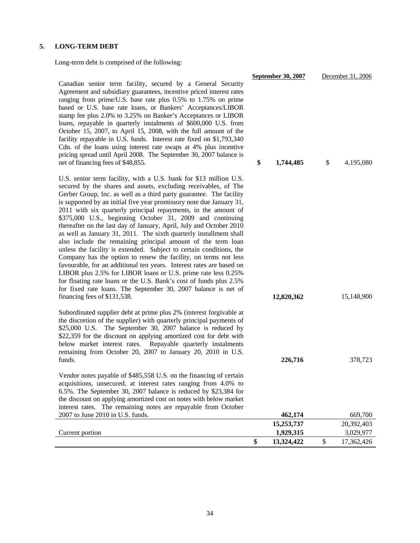#### **5. LONG-TERM DEBT**

Long-term debt is comprised of the following:

Canadian senior term facility, secured by a General Security Agreement and subsidiary guarantees, incentive priced interest rates ranging from prime/U.S. base rate plus 0.5% to 1.75% on prime based or U.S. base rate loans, or Bankers' Acceptances/LIBOR stamp fee plus 2.0% to 3.25% on Banker's Acceptances or LIBOR loans, repayable in quarterly instalments of \$600,000 U.S. from October 15, 2007, to April 15, 2008, with the full amount of the facility repayable in U.S. funds. Interest rate fixed on \$1,793,340 Cdn. of the loans using interest rate swaps at 4% plus incentive pricing spread until April 2008. The September 30, 2007 balance is net of financing fees of \$48,855.

U.S. senior term facility, with a U.S. bank for \$13 million U.S. secured by the shares and assets, excluding receivables, of The Gerber Group, Inc. as well as a third party guarantee. The facility is supported by an initial five year promissory note due January 31, 2011 with six quarterly principal repayments, in the amount of \$375,000 U.S., beginning October 31, 2009 and continuing thereafter on the last day of January, April, July and October 2010 as well as January 31, 2011. The sixth quarterly installment shall also include the remaining principal amount of the term loan unless the facility is extended. Subject to certain conditions, the Company has the option to renew the facility, on terms not less favourable, for an additional ten years. Interest rates are based on LIBOR plus 2.5% for LIBOR loans or U.S. prime rate less 0.25% for floating rate loans or the U.S. Bank's cost of funds plus 2.5% for fixed rate loans. The September 30, 2007 balance is net of financing fees of \$131,538.

Subordinated supplier debt at prime plus 2% (interest forgivable at the discretion of the supplier) with quarterly principal payments of \$25,000 U.S. The September 30, 2007 balance is reduced by \$22,359 for the discount on applying amortized cost for debt with below market interest rates. Repayable quarterly instalments remaining from October 20, 2007 to January 20, 2010 in U.S. funds. **226,716** 378,723

Vendor notes payable of \$485,558 U.S. on the financing of certain acquisitions, unsecured, at interest rates ranging from 4.0% to 6.5%. The September 30, 2007 balance is reduced by \$23,384 for the discount on applying amortized cost on notes with below market

|                | September 30, 2007 | December 31, 2006 |            |  |
|----------------|--------------------|-------------------|------------|--|
| y              |                    |                   |            |  |
| S              |                    |                   |            |  |
| e<br>ξ         |                    |                   |            |  |
| ξ              |                    |                   |            |  |
|                |                    |                   |            |  |
| n<br>e         |                    |                   |            |  |
| $\overline{0}$ |                    |                   |            |  |
| e              |                    |                   |            |  |
| S              |                    |                   |            |  |
|                | \$<br>1,744,485    | \$                | 4,195,080  |  |
| ί.             |                    |                   |            |  |
| e              |                    |                   |            |  |
| y              |                    |                   |            |  |
|                |                    |                   |            |  |
| ,<br>f         |                    |                   |            |  |
| g<br>D         |                    |                   |            |  |
| $\mathbf{l}$   |                    |                   |            |  |
| n              |                    |                   |            |  |
| e              |                    |                   |            |  |
| S              |                    |                   |            |  |
| n              |                    |                   |            |  |
| ó              |                    |                   |            |  |
| ó              |                    |                   |            |  |
| $\mathbf f$    |                    |                   |            |  |
|                | 12,820,362         |                   | 15,148,900 |  |
| ıt             |                    |                   |            |  |
| f              |                    |                   |            |  |
| y<br>h         |                    |                   |            |  |
|                |                    |                   |            |  |
| S              |                    |                   |            |  |
| l.             |                    |                   |            |  |
|                | 226,716            |                   | 378,723    |  |

| the discount on applying amortized cost on notes with below market |            |            |
|--------------------------------------------------------------------|------------|------------|
| interest rates. The remaining notes are repayable from October     |            |            |
| $2007$ to June $2010$ in U.S. funds.                               | 462,174    | 669,700    |
|                                                                    | 15,253,737 | 20,392,403 |
| Current portion                                                    | 1,929,315  | 3.029.977  |
|                                                                    | 13.324.422 | 17.362.426 |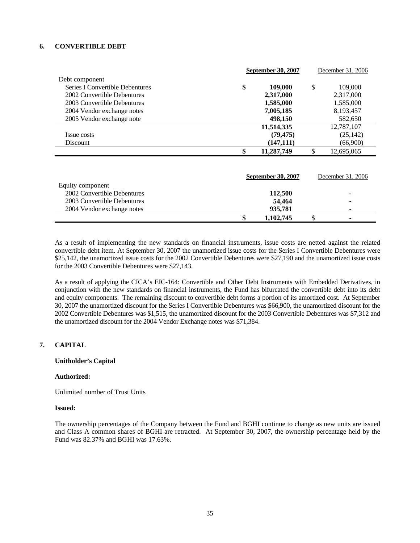#### **6. CONVERTIBLE DEBT**

|                                 | <b>September 30, 2007</b> |                           | December 31, 2006 |                   |
|---------------------------------|---------------------------|---------------------------|-------------------|-------------------|
| Debt component                  |                           |                           |                   |                   |
| Series I Convertible Debentures | \$                        | 109,000                   | \$                | 109,000           |
| 2002 Convertible Debentures     |                           | 2,317,000                 |                   | 2,317,000         |
| 2003 Convertible Debentures     |                           | 1,585,000                 |                   | 1,585,000         |
| 2004 Vendor exchange notes      |                           | 7,005,185                 |                   | 8,193,457         |
| 2005 Vendor exchange note       |                           | 498,150                   |                   | 582,650           |
|                                 |                           | 11,514,335                |                   | 12,787,107        |
| Issue costs                     |                           | (79, 475)                 |                   | (25, 142)         |
| Discount                        |                           | (147, 111)                |                   | (66,900)          |
|                                 | \$                        | 11,287,749                | \$                | 12,695,065        |
|                                 |                           | <b>September 30, 2007</b> |                   | December 31, 2006 |
| Equity component                |                           |                           |                   |                   |
| 2002 Convertible Debentures     |                           | 112,500                   |                   |                   |
| 2003 Convertible Debentures     |                           | 54,464                    |                   |                   |
| 2004 Vendor exchange notes      |                           | 935,781                   |                   |                   |
|                                 | \$                        | 1,102,745                 | \$                |                   |

 As a result of implementing the new standards on financial instruments, issue costs are netted against the related convertible debt item. At September 30, 2007 the unamortized issue costs for the Series I Convertible Debentures were \$25,142, the unamortized issue costs for the 2002 Convertible Debentures were \$27,190 and the unamortized issue costs for the 2003 Convertible Debentures were \$27,143.

As a result of applying the CICA's EIC-164: Convertible and Other Debt Instruments with Embedded Derivatives, in conjunction with the new standards on financial instruments, the Fund has bifurcated the convertible debt into its debt and equity components. The remaining discount to convertible debt forms a portion of its amortized cost. At September 30, 2007 the unamortized discount for the Series I Convertible Debentures was \$66,900, the unamortized discount for the 2002 Convertible Debentures was \$1,515, the unamortized discount for the 2003 Convertible Debentures was \$7,312 and the unamortized discount for the 2004 Vendor Exchange notes was \$71,384.

#### **7. CAPITAL**

#### **Unitholder's Capital**

#### **Authorized:**

Unlimited number of Trust Units

#### **Issued:**

The ownership percentages of the Company between the Fund and BGHI continue to change as new units are issued and Class A common shares of BGHI are retracted. At September 30, 2007, the ownership percentage held by the Fund was 82.37% and BGHI was 17.63%.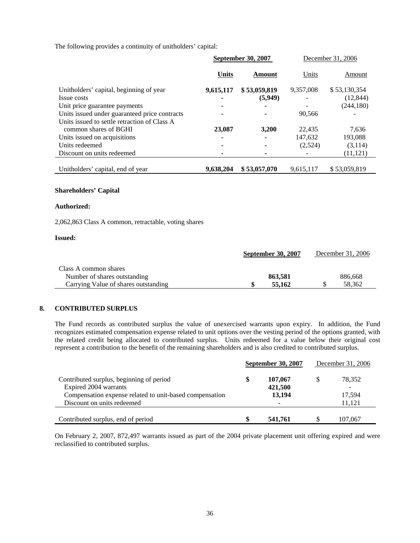The following provides a continuity of unitholders' capital:

|                                                                       | September 30, 2007 |              |           | December 31, 2006 |
|-----------------------------------------------------------------------|--------------------|--------------|-----------|-------------------|
|                                                                       | <b>Units</b>       | Amount       | Units     | Amount            |
| Unitholders' capital, beginning of year                               | 9,615,117          | \$53,059,819 | 9,357,008 | \$53,130,354      |
| Issue costs                                                           |                    | (5,949)      |           | (12, 844)         |
| Unit price guarantee payments                                         |                    |              |           | (244, 180)        |
| Units issued under guaranteed price contracts                         |                    |              | 90,566    |                   |
| Units issued to settle retraction of Class A<br>common shares of BGHI | 23,087             | 3,200        | 22.435    | 7,636             |
| Units issued on acquisitions                                          |                    |              | 147,632   | 193,088           |
| Units redeemed                                                        |                    |              | (2,524)   | (3,114)           |
| Discount on units redeemed                                            |                    |              |           | (11, 121)         |
| Unitholders' capital, end of year                                     | 9,638,204          | \$53,057,070 | 9,615,117 | \$53,059,819      |

#### **Shareholders' Capital**

#### **Authorized:**

2,062,863 Class A common, retractable, voting shares

#### **Issued:**

| <b>September 30, 2007</b>            |         | December 31, 2006 |
|--------------------------------------|---------|-------------------|
| Class A common shares                |         |                   |
| Number of shares outstanding         | 863.581 | 886,668           |
| Carrying Value of shares outstanding | 55,162  | 58.362            |

#### **8. CONTRIBUTED SURPLUS**

The Fund records as contributed surplus the value of unexercised warrants upon expiry. In addition, the Fund recognizes estimated compensation expense related to unit options over the vesting period of the options granted, with the related credit being allocated to contributed surplus. Units redeemed for a value below their original cost represent a contribution to the benefit of the remaining shareholders and is also credited to contributed surplus.

|                                                         | <b>September 30, 2007</b> |         | December 31, 2006 |
|---------------------------------------------------------|---------------------------|---------|-------------------|
| Contributed surplus, beginning of period                | \$                        | 107,067 | 78.352            |
| Expired 2004 warrants                                   |                           | 421,500 |                   |
| Compensation expense related to unit-based compensation |                           | 13,194  | 17,594            |
| Discount on units redeemed                              |                           |         | 11.121            |
|                                                         |                           |         |                   |
| Contributed surplus, end of period                      |                           | 541,761 | 107,067           |

 On February 2, 2007, 872,497 warrants issued as part of the 2004 private placement unit offering expired and were reclassified to contributed surplus.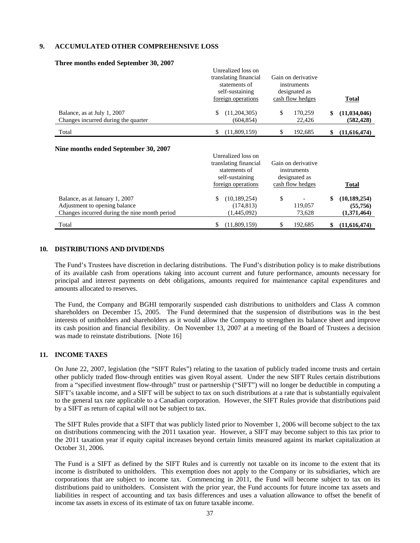#### **9. ACCUMULATED OTHER COMPREHENSIVE LOSS**

|                                                                                                                  | Unrealized loss on<br>translating financial<br>statements of<br>self-sustaining<br>foreign operations | Gain on derivative<br>instruments<br>designated as<br>cash flow hedges | Total                                           |
|------------------------------------------------------------------------------------------------------------------|-------------------------------------------------------------------------------------------------------|------------------------------------------------------------------------|-------------------------------------------------|
| Balance, as at July 1, 2007<br>Changes incurred during the quarter                                               | (11,204,305)<br>\$<br>(604, 854)                                                                      | \$<br>170,259<br>22,426                                                | (11, 034, 046)<br>\$<br>(582, 428)              |
| Total                                                                                                            | (11,809,159)<br>\$                                                                                    | 192,685<br>\$                                                          | (11,616,474)<br>\$                              |
| Nine months ended September 30, 2007                                                                             | Unrealized loss on<br>translating financial<br>statements of<br>self-sustaining<br>foreign operations | Gain on derivative<br>instruments<br>designated as<br>cash flow hedges | Total                                           |
| Balance, as at January 1, 2007<br>Adjustment to opening balance<br>Changes incurred during the nine month period | (10, 189, 254)<br>\$<br>(174, 813)<br>(1,445,092)                                                     | \$<br>119,057<br>73,628                                                | (10, 189, 254)<br>\$<br>(55,756)<br>(1,371,464) |
| Total                                                                                                            | \$<br>(11,809,159)                                                                                    | \$<br>192,685                                                          | (11,616,474)<br>\$                              |

#### **Three months ended September 30, 2007**

#### **10. DISTRIBUTIONS AND DIVIDENDS**

The Fund's Trustees have discretion in declaring distributions. The Fund's distribution policy is to make distributions of its available cash from operations taking into account current and future performance, amounts necessary for principal and interest payments on debt obligations, amounts required for maintenance capital expenditures and amounts allocated to reserves.

The Fund, the Company and BGHI temporarily suspended cash distributions to unitholders and Class A common shareholders on December 15, 2005. The Fund determined that the suspension of distributions was in the best interests of unitholders and shareholders as it would allow the Company to strengthen its balance sheet and improve its cash position and financial flexibility. On November 13, 2007 at a meeting of the Board of Trustees a decision was made to reinstate distributions. [Note 16]

#### **11. INCOME TAXES**

On June 22, 2007, legislation (the "SIFT Rules") relating to the taxation of publicly traded income trusts and certain other publicly traded flow-through entities was given Royal assent. Under the new SIFT Rules certain distributions from a "specified investment flow-through" trust or partnership ("SIFT") will no longer be deductible in computing a SIFT's taxable income, and a SIFT will be subject to tax on such distributions at a rate that is substantially equivalent to the general tax rate applicable to a Canadian corporation. However, the SIFT Rules provide that distributions paid by a SIFT as return of capital will not be subject to tax.

The SIFT Rules provide that a SIFT that was publicly listed prior to November 1, 2006 will become subject to the tax on distributions commencing with the 2011 taxation year. However, a SIFT may become subject to this tax prior to the 2011 taxation year if equity capital increases beyond certain limits measured against its market capitalization at October 31, 2006.

The Fund is a SIFT as defined by the SIFT Rules and is currently not taxable on its income to the extent that its income is distributed to unitholders. This exemption does not apply to the Company or its subsidiaries, which are corporations that are subject to income tax. Commencing in 2011, the Fund will become subject to tax on its distributions paid to unitholders. Consistent with the prior year, the Fund accounts for future income tax assets and liabilities in respect of accounting and tax basis differences and uses a valuation allowance to offset the benefit of income tax assets in excess of its estimate of tax on future taxable income.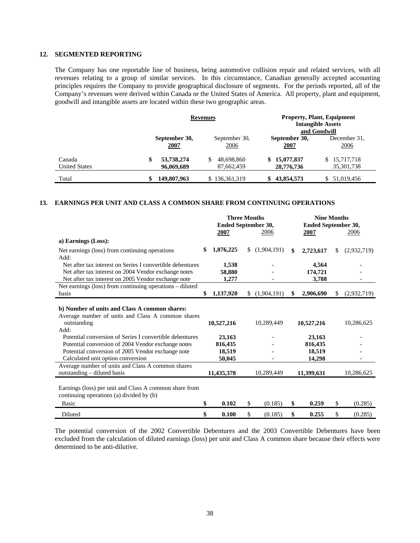#### **12. SEGMENTED REPORTING**

The Company has one reportable line of business, being automotive collision repair and related services, with all revenues relating to a group of similar services. In this circumstance, Canadian generally accepted accounting principles requires the Company to provide geographical disclosure of segments. For the periods reported, all of the Company's revenues were derived within Canada or the United States of America. All property, plant and equipment, goodwill and intangible assets are located within these two geographic areas.

|                                | <b>Revenues</b>                |                                | <b>Property, Plant, Equipment</b><br><b>Intangible Assets</b><br>and Goodwill |                                |  |  |  |  |
|--------------------------------|--------------------------------|--------------------------------|-------------------------------------------------------------------------------|--------------------------------|--|--|--|--|
|                                | September 30,<br>2007          | September 30,<br><u>2006</u>   | September 30,<br><b>2007</b>                                                  | December 31,<br><u>2006</u>    |  |  |  |  |
| Canada<br><b>United States</b> | 53,738,274<br>\$<br>96,069,689 | \$<br>48,698,860<br>87,662,459 | 15,077,837<br>S.<br>28,776,736                                                | 15,717,718<br>S.<br>35,301,738 |  |  |  |  |
| Total                          | 149,807,963                    | 136, 361, 319                  | 43,854,573                                                                    | \$51,019,456                   |  |  |  |  |

#### **13. EARNINGS PER UNIT AND CLASS A COMMON SHARE FROM CONTINUING OPERATIONS**

| 2007<br>2007<br>2006<br>2006<br>a) Earnings (Loss):<br>1,076,225<br>(1,904,191)<br>\$<br>S<br>\$<br>2,723,617<br>Net earnings (loss) from continuing operations<br>\$<br>Add:<br>Net after tax interest on Series I convertible debentures<br>1,538<br>4,564<br>Net after tax interest on 2004 Vendor exchange notes<br>58,880<br>174,721<br>Net after tax interest on 2005 Vendor exchange note<br>3,788<br>1,277<br>Net earnings (loss) from continuing operations – diluted<br>1,137,920<br>basis<br>\$<br>(1,904,191)<br>\$<br>2,906,690<br>S.<br>S<br>b) Number of units and Class A common shares:<br>Average number of units and Class A common shares<br>10,527,216<br>10,527,216<br>outstanding<br>10,289,449<br>Add:<br>Potential conversion of Series I convertible debentures |  | <b>Three Months</b><br>Ended September 30, |  | <b>Nine Months</b><br>Ended September 30, |  |        |  |             |
|-------------------------------------------------------------------------------------------------------------------------------------------------------------------------------------------------------------------------------------------------------------------------------------------------------------------------------------------------------------------------------------------------------------------------------------------------------------------------------------------------------------------------------------------------------------------------------------------------------------------------------------------------------------------------------------------------------------------------------------------------------------------------------------------|--|--------------------------------------------|--|-------------------------------------------|--|--------|--|-------------|
|                                                                                                                                                                                                                                                                                                                                                                                                                                                                                                                                                                                                                                                                                                                                                                                           |  |                                            |  |                                           |  |        |  |             |
|                                                                                                                                                                                                                                                                                                                                                                                                                                                                                                                                                                                                                                                                                                                                                                                           |  |                                            |  |                                           |  |        |  |             |
|                                                                                                                                                                                                                                                                                                                                                                                                                                                                                                                                                                                                                                                                                                                                                                                           |  |                                            |  |                                           |  |        |  | (2,932,719) |
|                                                                                                                                                                                                                                                                                                                                                                                                                                                                                                                                                                                                                                                                                                                                                                                           |  |                                            |  |                                           |  |        |  |             |
|                                                                                                                                                                                                                                                                                                                                                                                                                                                                                                                                                                                                                                                                                                                                                                                           |  |                                            |  |                                           |  |        |  | (2,932,719) |
| Potential conversion of 2004 Vendor exchange notes<br>816,435<br>816,435                                                                                                                                                                                                                                                                                                                                                                                                                                                                                                                                                                                                                                                                                                                  |  | 23,163                                     |  |                                           |  | 23,163 |  | 10,286,625  |
| Potential conversion of 2005 Vendor exchange note<br>18,519<br>18,519<br>Calculated unit option conversion<br>50,045<br>14,298                                                                                                                                                                                                                                                                                                                                                                                                                                                                                                                                                                                                                                                            |  |                                            |  |                                           |  |        |  |             |
| Average number of units and Class A common shares<br>outstanding – diluted basis<br>11,435,378<br>10,289,449<br>11,399,631                                                                                                                                                                                                                                                                                                                                                                                                                                                                                                                                                                                                                                                                |  |                                            |  |                                           |  |        |  | 10,286,625  |
| Earnings (loss) per unit and Class A common share from<br>continuing operations (a) divided by (b)<br>\$<br><b>Basic</b><br>\$<br>(0.185)<br>\$<br>\$<br>0.102<br>0.259                                                                                                                                                                                                                                                                                                                                                                                                                                                                                                                                                                                                                   |  |                                            |  |                                           |  |        |  | (0.285)     |
| \$<br>\$<br>\$<br>0.255<br>\$<br>Diluted<br>0.100<br>(0.185)                                                                                                                                                                                                                                                                                                                                                                                                                                                                                                                                                                                                                                                                                                                              |  |                                            |  |                                           |  |        |  | (0.285)     |

The potential conversion of the 2002 Convertible Debentures and the 2003 Convertible Debentures have been excluded from the calculation of diluted earnings (loss) per unit and Class A common share because their effects were determined to be anti-dilutive.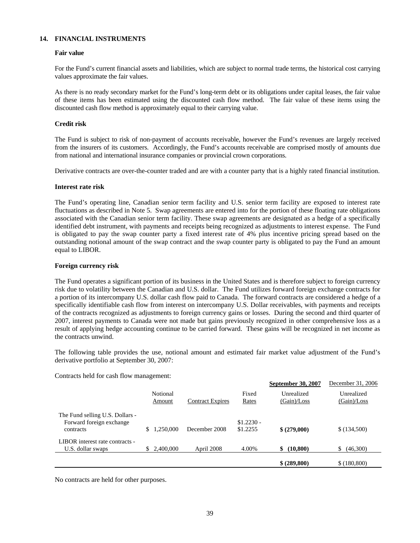#### **14. FINANCIAL INSTRUMENTS**

#### **Fair value**

For the Fund's current financial assets and liabilities, which are subject to normal trade terms, the historical cost carrying values approximate the fair values.

As there is no ready secondary market for the Fund's long-term debt or its obligations under capital leases, the fair value of these items has been estimated using the discounted cash flow method. The fair value of these items using the discounted cash flow method is approximately equal to their carrying value.

#### **Credit risk**

The Fund is subject to risk of non-payment of accounts receivable, however the Fund's revenues are largely received from the insurers of its customers. Accordingly, the Fund's accounts receivable are comprised mostly of amounts due from national and international insurance companies or provincial crown corporations.

Derivative contracts are over-the-counter traded and are with a counter party that is a highly rated financial institution.

#### **Interest rate risk**

The Fund's operating line, Canadian senior term facility and U.S. senior term facility are exposed to interest rate fluctuations as described in Note 5. Swap agreements are entered into for the portion of these floating rate obligations associated with the Canadian senior term facility. These swap agreements are designated as a hedge of a specifically identified debt instrument, with payments and receipts being recognized as adjustments to interest expense. The Fund is obligated to pay the swap counter party a fixed interest rate of 4% plus incentive pricing spread based on the outstanding notional amount of the swap contract and the swap counter party is obligated to pay the Fund an amount equal to LIBOR.

#### **Foreign currency risk**

The Fund operates a significant portion of its business in the United States and is therefore subject to foreign currency risk due to volatility between the Canadian and U.S. dollar. The Fund utilizes forward foreign exchange contracts for a portion of its intercompany U.S. dollar cash flow paid to Canada. The forward contracts are considered a hedge of a specifically identifiable cash flow from interest on intercompany U.S. Dollar receivables, with payments and receipts of the contracts recognized as adjustments to foreign currency gains or losses. During the second and third quarter of 2007, interest payments to Canada were not made but gains previously recognized in other comprehensive loss as a result of applying hedge accounting continue to be carried forward. These gains will be recognized in net income as the contracts unwind.

The following table provides the use, notional amount and estimated fair market value adjustment of the Fund's derivative portfolio at September 30, 2007:

Contracts held for cash flow management:

|                                                                          |                    |                         |                         | September 30, 2007        | December 31, 2006         |
|--------------------------------------------------------------------------|--------------------|-------------------------|-------------------------|---------------------------|---------------------------|
|                                                                          | Notional<br>Amount | <b>Contract Expires</b> | Fixed<br>Rates          | Unrealized<br>(Gain)/Loss | Unrealized<br>(Gain)/Loss |
| The Fund selling U.S. Dollars -<br>Forward foreign exchange<br>contracts | .250.000<br>S.     | December 2008           | $$1.2230 -$<br>\$1.2255 | \$ (279,000)              | \$(134,500)               |
| LIBOR interest rate contracts -<br>U.S. dollar swaps                     | 2,400,000<br>S.    | April 2008              | 4.00%                   | (10, 800)<br>\$           | (46,300)<br>S             |
|                                                                          |                    |                         |                         | \$ (289,800)              | \$(180, 800)              |

No contracts are held for other purposes.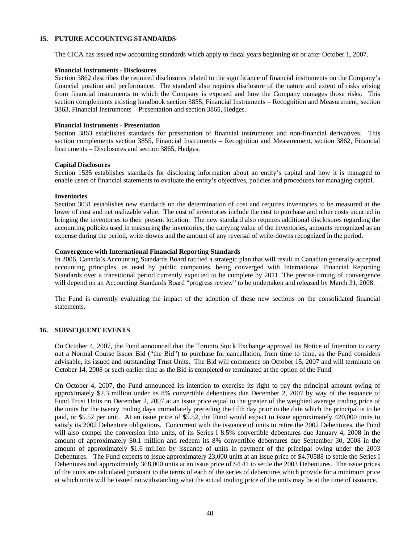#### **15. FUTURE ACCOUNTING STANDARDS**

The CICA has issued new accounting standards which apply to fiscal years beginning on or after October 1, 2007.

#### **Financial Instruments - Disclosures**

Section 3862 describes the required disclosures related to the significance of financial instruments on the Company's financial position and performance. The standard also requires disclosure of the nature and extent of risks arising from financial instruments to which the Company is exposed and how the Company manages those risks. This section complements existing handbook section 3855, Financial Instruments – Recognition and Measurement, section 3863, Financial Instruments – Presentation and section 3865, Hedges.

#### **Financial Instruments - Presentation**

Section 3863 establishes standards for presentation of financial instruments and non-financial derivatives. This section complements section 3855, Financial Instruments – Recognition and Measurement, section 3862, Financial Instruments – Disclosures and section 3865, Hedges.

#### **Capital Disclosures**

Section 1535 establishes standards for disclosing information about an entity's capital and how it is managed to enable users of financial statements to evaluate the entity's objectives, policies and procedures for managing capital.

#### **Inventories**

Section 3031 establishes new standards on the determination of cost and requires inventories to be measured at the lower of cost and net realizable value. The cost of inventories include the cost to purchase and other costs incurred in bringing the inventories to their present location. The new standard also requires additional disclosures regarding the accounting policies used in measuring the inventories, the carrying value of the inventories, amounts recognized as an expense during the period, write-downs and the amount of any reversal of write-downs recognized in the period.

#### **Convergence with International Financial Reporting Standards**

In 2006, Canada's Accounting Standards Board ratified a strategic plan that will result in Canadian generally accepted accounting principles, as used by public companies, being converged with International Financial Reporting Standards over a transitional period currently expected to be complete by 2011. The precise timing of convergence will depend on an Accounting Standards Board "progress review" to be undertaken and released by March 31, 2008.

The Fund is currently evaluating the impact of the adoption of these new sections on the consolidated financial statements.

#### **16. SUBSEQUENT EVENTS**

On October 4, 2007, the Fund announced that the Toronto Stock Exchange approved its Notice of Intention to carry out a Normal Course Issuer Bid ("the Bid") to purchase for cancellation, from time to time, as the Fund considers advisable, its issued and outstanding Trust Units. The Bid will commence on October 15, 2007 and will terminate on October 14, 2008 or such earlier time as the Bid is completed or terminated at the option of the Fund.

On October 4, 2007, the Fund announced its intention to exercise its right to pay the principal amount owing of approximately \$2.3 million under its 8% convertible debentures due December 2, 2007 by way of the issuance of Fund Trust Units on December 2, 2007 at an issue price equal to the greater of the weighted average trading price of the units for the twenty trading days immediately preceding the fifth day prior to the date which the principal is to be paid, or \$5.52 per unit. At an issue price of \$5.52, the Fund would expect to issue approximately 420,000 units to satisfy its 2002 Debenture obligations. Concurrent with the issuance of units to retire the 2002 Debentures, the Fund will also compel the conversion into units, of its Series I 8.5% convertible debentures due January 4, 2008 in the amount of approximately \$0.1 million and redeem its 8% convertible debentures due September 30, 2008 in the amount of approximately \$1.6 million by issuance of units in payment of the principal owing under the 2003 Debentures. The Fund expects to issue approximately 23,000 units at an issue price of \$4.70588 to settle the Series I Debentures and approximately 368,000 units at an issue price of \$4.41 to settle the 2003 Debentures. The issue prices of the units are calculated pursuant to the terms of each of the series of debentures which provide for a minimum price at which units will be issued notwithstanding what the actual trading price of the units may be at the time of issuance.